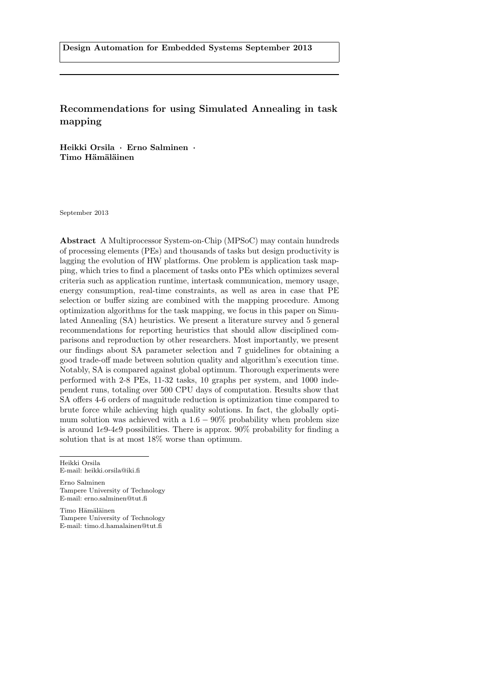# Recommendations for using Simulated Annealing in task mapping

Heikki Orsila · Erno Salminen · Timo Hämäläinen

September 2013

Abstract A Multiprocessor System-on-Chip (MPSoC) may contain hundreds of processing elements (PEs) and thousands of tasks but design productivity is lagging the evolution of HW platforms. One problem is application task mapping, which tries to find a placement of tasks onto PEs which optimizes several criteria such as application runtime, intertask communication, memory usage, energy consumption, real-time constraints, as well as area in case that PE selection or buffer sizing are combined with the mapping procedure. Among optimization algorithms for the task mapping, we focus in this paper on Simulated Annealing (SA) heuristics. We present a literature survey and 5 general recommendations for reporting heuristics that should allow disciplined comparisons and reproduction by other researchers. Most importantly, we present our findings about SA parameter selection and 7 guidelines for obtaining a good trade-off made between solution quality and algorithm's execution time. Notably, SA is compared against global optimum. Thorough experiments were performed with 2-8 PEs, 11-32 tasks, 10 graphs per system, and 1000 independent runs, totaling over 500 CPU days of computation. Results show that SA offers 4-6 orders of magnitude reduction is optimization time compared to brute force while achieving high quality solutions. In fact, the globally optimum solution was achieved with a  $1.6 - 90\%$  probability when problem size is around 1e9-4e9 possibilities. There is approx. 90% probability for finding a solution that is at most 18% worse than optimum.

Heikki Orsila E-mail: heikki.orsila@iki.fi

Erno Salminen Tampere University of Technology E-mail: erno.salminen@tut.fi

Timo Hämäläinen Tampere University of Technology E-mail: timo.d.hamalainen@tut.fi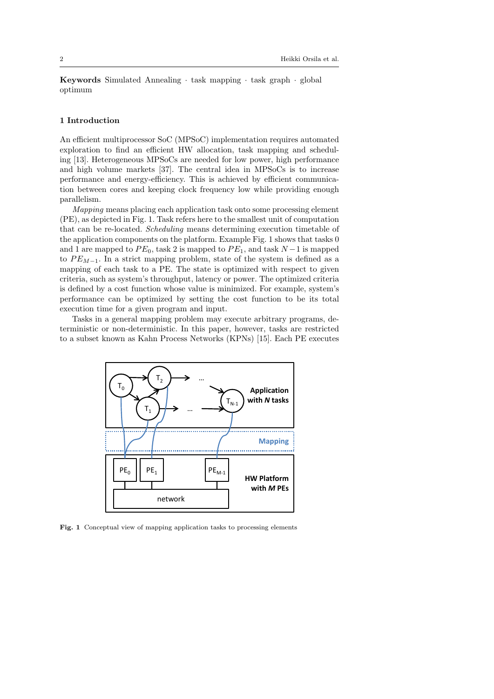Keywords Simulated Annealing · task mapping · task graph · global optimum

## 1 Introduction

An efficient multiprocessor SoC (MPSoC) implementation requires automated exploration to find an efficient HW allocation, task mapping and scheduling [\[13\]](#page-28-0). Heterogeneous MPSoCs are needed for low power, high performance and high volume markets [\[37\]](#page-29-0). The central idea in MPSoCs is to increase performance and energy-efficiency. This is achieved by efficient communication between cores and keeping clock frequency low while providing enough parallelism.

Mapping means placing each application task onto some processing element (PE), as depicted in Fig. [1.](#page-1-0) Task refers here to the smallest unit of computation that can be re-located. Scheduling means determining execution timetable of the application components on the platform. Example Fig. [1](#page-1-0) shows that tasks 0 and 1 are mapped to  $PE_0$ , task 2 is mapped to  $PE_1$ , and task  $N-1$  is mapped to  $PE_{M-1}$ . In a strict mapping problem, state of the system is defined as a mapping of each task to a PE. The state is optimized with respect to given criteria, such as system's throughput, latency or power. The optimized criteria is defined by a cost function whose value is minimized. For example, system's performance can be optimized by setting the cost function to be its total execution time for a given program and input.

Tasks in a general mapping problem may execute arbitrary programs, deterministic or non-deterministic. In this paper, however, tasks are restricted to a subset known as Kahn Process Networks (KPNs) [\[15\]](#page-28-1). Each PE executes



<span id="page-1-0"></span>Fig. 1 Conceptual view of mapping application tasks to processing elements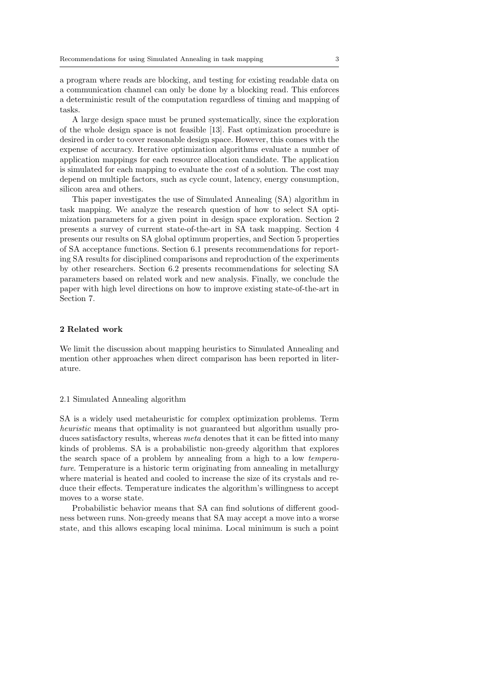a program where reads are blocking, and testing for existing readable data on a communication channel can only be done by a blocking read. This enforces a deterministic result of the computation regardless of timing and mapping of tasks.

A large design space must be pruned systematically, since the exploration of the whole design space is not feasible [\[13\]](#page-28-0). Fast optimization procedure is desired in order to cover reasonable design space. However, this comes with the expense of accuracy. Iterative optimization algorithms evaluate a number of application mappings for each resource allocation candidate. The application is simulated for each mapping to evaluate the cost of a solution. The cost may depend on multiple factors, such as cycle count, latency, energy consumption, silicon area and others.

This paper investigates the use of Simulated Annealing (SA) algorithm in task mapping. We analyze the research question of how to select SA optimization parameters for a given point in design space exploration. Section [2](#page-2-0) presents a survey of current state-of-the-art in SA task mapping. Section [4](#page-12-0) presents our results on SA global optimum properties, and Section [5](#page-23-0) properties of SA acceptance functions. Section [6.1](#page-25-0) presents recommendations for reporting SA results for disciplined comparisons and reproduction of the experiments by other researchers. Section [6.2](#page-26-0) presents recommendations for selecting SA parameters based on related work and new analysis. Finally, we conclude the paper with high level directions on how to improve existing state-of-the-art in Section [7.](#page-27-0)

# <span id="page-2-0"></span>2 Related work

We limit the discussion about mapping heuristics to Simulated Annealing and mention other approaches when direct comparison has been reported in literature.

## 2.1 Simulated Annealing algorithm

SA is a widely used metaheuristic for complex optimization problems. Term heuristic means that optimality is not guaranteed but algorithm usually produces satisfactory results, whereas *meta* denotes that it can be fitted into many kinds of problems. SA is a probabilistic non-greedy algorithm that explores the search space of a problem by annealing from a high to a low temperature. Temperature is a historic term originating from annealing in metallurgy where material is heated and cooled to increase the size of its crystals and reduce their effects. Temperature indicates the algorithm's willingness to accept moves to a worse state.

Probabilistic behavior means that SA can find solutions of different goodness between runs. Non-greedy means that SA may accept a move into a worse state, and this allows escaping local minima. Local minimum is such a point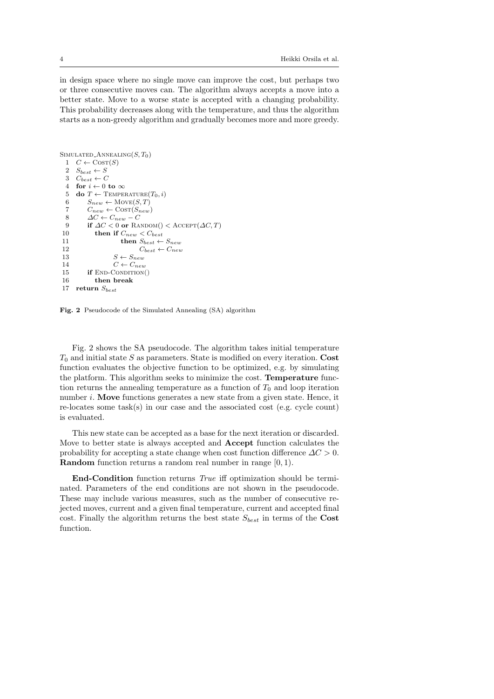in design space where no single move can improve the cost, but perhaps two or three consecutive moves can. The algorithm always accepts a move into a better state. Move to a worse state is accepted with a changing probability. This probability decreases along with the temperature, and thus the algorithm starts as a non-greedy algorithm and gradually becomes more and more greedy.

```
SIMULATED_ANNEALING(S, T_0)1 C \leftarrow \text{CosT}(S)<br>2 S_{\text{test}} \leftarrow SS_{best} \leftarrow S3 C_{best} \leftarrow C<br>4 for i \leftarrow 0for i \leftarrow 0 to \infty5 do T \leftarrow \text{Temperature}(T_0, i)6 S_{new} \leftarrow \text{Move}(S, T)<br>7 C_{new} \leftarrow \text{Cost}(S_{new})C_{new} \leftarrow \text{COST}(S_{new})8 \Delta C \leftarrow C_{new} - C<br>9 if \Delta C < 0 or RA
9 if \Delta C < 0 or RANDOM() < ACCEPT(\Delta C, T)<br>10 then if C_{new} < C_{best}10 then if C_{new} < C_{best}<br>11 then S_{best} \leftarrow11 then S_{best} \leftarrow S_{new}<br>12 C_{best} \leftarrow C_{new}12 C_{best} \leftarrow C_{new}<br>13 S \leftarrow S_{new}S \leftarrow S_{new}14 C \leftarrow C_{new}<br>15 if END-CONDITION
              if END-CONDITION()
16 then break
17 return S_{best}
```
<span id="page-3-0"></span>Fig. 2 Pseudocode of the Simulated Annealing (SA) algorithm

Fig. [2](#page-3-0) shows the SA pseudocode. The algorithm takes initial temperature  $T_0$  and initial state S as parameters. State is modified on every iteration. Cost function evaluates the objective function to be optimized, e.g. by simulating the platform. This algorithm seeks to minimize the cost. Temperature function returns the annealing temperature as a function of  $T_0$  and loop iteration number *i*. Move functions generates a new state from a given state. Hence, it re-locates some task(s) in our case and the associated cost (e.g. cycle count) is evaluated.

This new state can be accepted as a base for the next iteration or discarded. Move to better state is always accepted and Accept function calculates the probability for accepting a state change when cost function difference  $\Delta C > 0$ . Random function returns a random real number in range [0, 1).

End-Condition function returns True iff optimization should be terminated. Parameters of the end conditions are not shown in the pseudocode. These may include various measures, such as the number of consecutive rejected moves, current and a given final temperature, current and accepted final cost. Finally the algorithm returns the best state  $S_{best}$  in terms of the Cost function.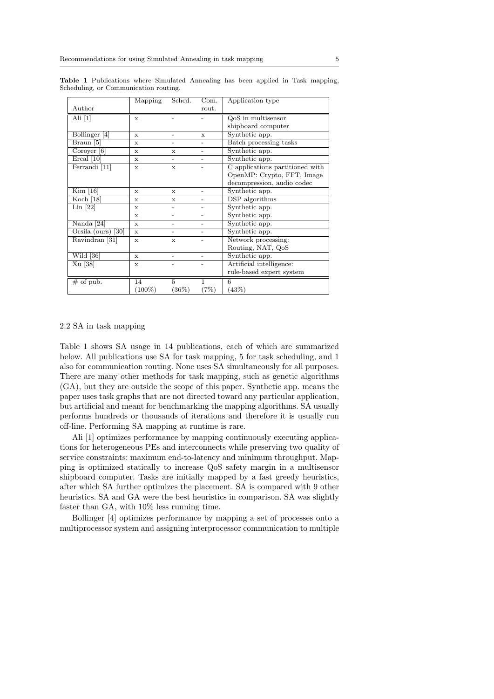|                          | Mapping      | Sched.                   | Com.         | Application type                |
|--------------------------|--------------|--------------------------|--------------|---------------------------------|
| $\rm{Author}$            |              |                          | rout.        |                                 |
| Ali $[1]$                | $\mathbf{x}$ |                          |              | $Qo\overline{S}$ in multisensor |
|                          |              |                          |              | shipboard computer              |
| Bollinger <sup>[4]</sup> | $\mathbf{x}$ | $\overline{\phantom{0}}$ | X            | Synthetic app.                  |
| Braun [5]                | X            |                          |              | Batch processing tasks          |
| Coroyer [6]              | X            | X                        |              | Synthetic app.                  |
| Ercal [10]               | $\mathbf x$  | $\overline{\phantom{0}}$ |              | Synthetic app.                  |
| Ferrandi [11]            | X            | $\mathbf x$              |              | C applications partitioned with |
|                          |              |                          |              | OpenMP: Crypto, FFT, Image      |
|                          |              |                          |              | decompression, audio codec      |
| Kim [16]                 | X            | X                        |              | Synthetic app.                  |
| Koch $[18]$              | X            | X                        |              | DSP algorithms                  |
| Lin [22]                 | X            |                          |              | Synthetic app.                  |
|                          | X            |                          |              | Synthetic app.                  |
| Nanda [24]               | $\mathbf{x}$ |                          |              | Synthetic app.                  |
| Orsila (ours) $[30]$     | X            |                          |              | Synthetic app.                  |
| Ravindran [31]           | X            | X                        |              | Network processing:             |
|                          |              |                          |              | Routing, NAT, QoS               |
| Wild $[36]$              | $\mathbf{x}$ |                          |              | Synthetic app.                  |
| Xu [38]                  | X            |                          |              | Artificial intelligence:        |
|                          |              |                          |              | rule-based expert system        |
| $\overline{\#}$ of pub.  | 14           | 5                        | $\mathbf{1}$ | 6                               |
|                          | $(100\%)$    | (36%)                    | (7%)         | (43%)                           |

<span id="page-4-0"></span>Table 1 Publications where Simulated Annealing has been applied in Task mapping, Scheduling, or Communication routing.

## <span id="page-4-1"></span>2.2 SA in task mapping

Table [1](#page-4-0) shows SA usage in 14 publications, each of which are summarized below. All publications use SA for task mapping, 5 for task scheduling, and 1 also for communication routing. None uses SA simultaneously for all purposes. There are many other methods for task mapping, such as genetic algorithms (GA), but they are outside the scope of this paper. Synthetic app. means the paper uses task graphs that are not directed toward any particular application, but artificial and meant for benchmarking the mapping algorithms. SA usually performs hundreds or thousands of iterations and therefore it is usually run off-line. Performing SA mapping at runtime is rare.

Ali [\[1\]](#page-27-1) optimizes performance by mapping continuously executing applications for heterogeneous PEs and interconnects while preserving two quality of service constraints: maximum end-to-latency and minimum throughput. Mapping is optimized statically to increase QoS safety margin in a multisensor shipboard computer. Tasks are initially mapped by a fast greedy heuristics, after which SA further optimizes the placement. SA is compared with 9 other heuristics. SA and GA were the best heuristics in comparison. SA was slightly faster than GA, with 10% less running time.

Bollinger [\[4\]](#page-27-2) optimizes performance by mapping a set of processes onto a multiprocessor system and assigning interprocessor communication to multiple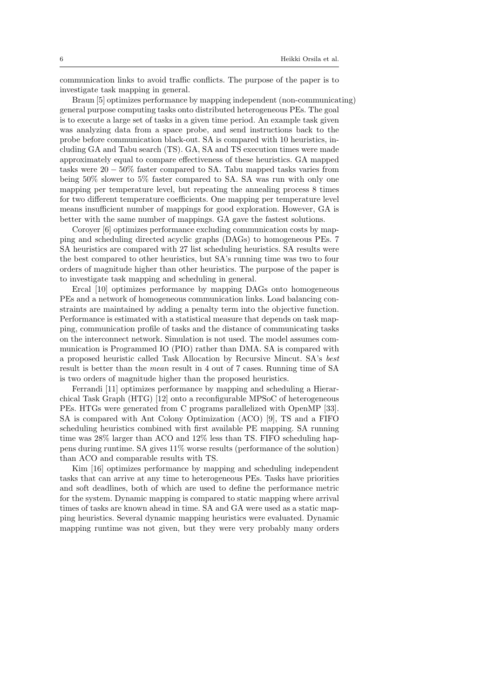communication links to avoid traffic conflicts. The purpose of the paper is to investigate task mapping in general.

Braun [\[5\]](#page-28-2) optimizes performance by mapping independent (non-communicating) general purpose computing tasks onto distributed heterogeneous PEs. The goal is to execute a large set of tasks in a given time period. An example task given was analyzing data from a space probe, and send instructions back to the probe before communication black-out. SA is compared with 10 heuristics, including GA and Tabu search (TS). GA, SA and TS execution times were made approximately equal to compare effectiveness of these heuristics. GA mapped tasks were  $20 - 50\%$  faster compared to SA. Tabu mapped tasks varies from being 50% slower to 5% faster compared to SA. SA was run with only one mapping per temperature level, but repeating the annealing process 8 times for two different temperature coefficients. One mapping per temperature level means insufficient number of mappings for good exploration. However, GA is better with the same number of mappings. GA gave the fastest solutions.

Coroyer [\[6\]](#page-28-3) optimizes performance excluding communication costs by mapping and scheduling directed acyclic graphs (DAGs) to homogeneous PEs. 7 SA heuristics are compared with 27 list scheduling heuristics. SA results were the best compared to other heuristics, but SA's running time was two to four orders of magnitude higher than other heuristics. The purpose of the paper is to investigate task mapping and scheduling in general.

Ercal [\[10\]](#page-28-4) optimizes performance by mapping DAGs onto homogeneous PEs and a network of homogeneous communication links. Load balancing constraints are maintained by adding a penalty term into the objective function. Performance is estimated with a statistical measure that depends on task mapping, communication profile of tasks and the distance of communicating tasks on the interconnect network. Simulation is not used. The model assumes communication is Programmed IO (PIO) rather than DMA. SA is compared with a proposed heuristic called Task Allocation by Recursive Mincut. SA's best result is better than the mean result in 4 out of 7 cases. Running time of SA is two orders of magnitude higher than the proposed heuristics.

Ferrandi [\[11\]](#page-28-5) optimizes performance by mapping and scheduling a Hierarchical Task Graph (HTG) [\[12\]](#page-28-10) onto a reconfigurable MPSoC of heterogeneous PEs. HTGs were generated from C programs parallelized with OpenMP [\[33\]](#page-29-5). SA is compared with Ant Colony Optimization (ACO) [\[9\]](#page-28-11), TS and a FIFO scheduling heuristics combined with first available PE mapping. SA running time was 28% larger than ACO and 12% less than TS. FIFO scheduling happens during runtime. SA gives 11% worse results (performance of the solution) than ACO and comparable results with TS.

Kim [\[16\]](#page-28-6) optimizes performance by mapping and scheduling independent tasks that can arrive at any time to heterogeneous PEs. Tasks have priorities and soft deadlines, both of which are used to define the performance metric for the system. Dynamic mapping is compared to static mapping where arrival times of tasks are known ahead in time. SA and GA were used as a static mapping heuristics. Several dynamic mapping heuristics were evaluated. Dynamic mapping runtime was not given, but they were very probably many orders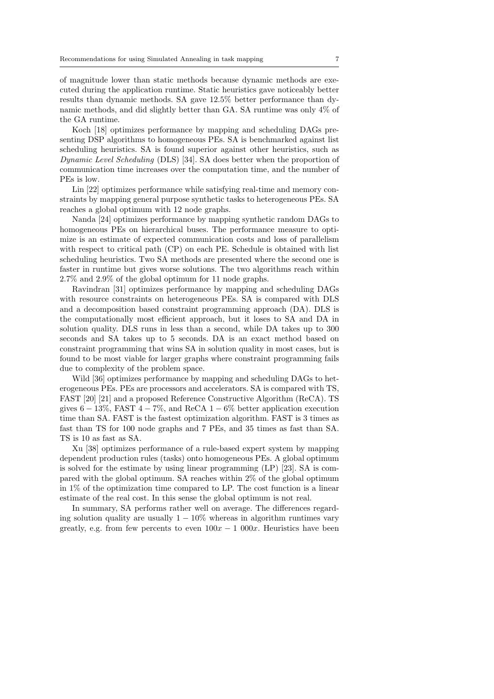of magnitude lower than static methods because dynamic methods are executed during the application runtime. Static heuristics gave noticeably better results than dynamic methods. SA gave 12.5% better performance than dynamic methods, and did slightly better than GA. SA runtime was only 4% of the GA runtime.

Koch [\[18\]](#page-28-7) optimizes performance by mapping and scheduling DAGs presenting DSP algorithms to homogeneous PEs. SA is benchmarked against list scheduling heuristics. SA is found superior against other heuristics, such as Dynamic Level Scheduling (DLS) [\[34\]](#page-29-6). SA does better when the proportion of communication time increases over the computation time, and the number of PEs is low.

Lin [\[22\]](#page-28-8) optimizes performance while satisfying real-time and memory constraints by mapping general purpose synthetic tasks to heterogeneous PEs. SA reaches a global optimum with 12 node graphs.

Nanda [\[24\]](#page-28-9) optimizes performance by mapping synthetic random DAGs to homogeneous PEs on hierarchical buses. The performance measure to optimize is an estimate of expected communication costs and loss of parallelism with respect to critical path (CP) on each PE. Schedule is obtained with list scheduling heuristics. Two SA methods are presented where the second one is faster in runtime but gives worse solutions. The two algorithms reach within 2.7% and 2.9% of the global optimum for 11 node graphs.

Ravindran [\[31\]](#page-29-2) optimizes performance by mapping and scheduling DAGs with resource constraints on heterogeneous PEs. SA is compared with DLS and a decomposition based constraint programming approach (DA). DLS is the computationally most efficient approach, but it loses to SA and DA in solution quality. DLS runs in less than a second, while DA takes up to 300 seconds and SA takes up to 5 seconds. DA is an exact method based on constraint programming that wins SA in solution quality in most cases, but is found to be most viable for larger graphs where constraint programming fails due to complexity of the problem space.

Wild [\[36\]](#page-29-3) optimizes performance by mapping and scheduling DAGs to heterogeneous PEs. PEs are processors and accelerators. SA is compared with TS, FAST [\[20\]](#page-28-12) [\[21\]](#page-28-13) and a proposed Reference Constructive Algorithm (ReCA). TS gives  $6 - 13\%$ , FAST  $4 - 7\%$ , and ReCA  $1 - 6\%$  better application execution time than SA. FAST is the fastest optimization algorithm. FAST is 3 times as fast than TS for 100 node graphs and 7 PEs, and 35 times as fast than SA. TS is 10 as fast as SA.

Xu [\[38\]](#page-29-4) optimizes performance of a rule-based expert system by mapping dependent production rules (tasks) onto homogeneous PEs. A global optimum is solved for the estimate by using linear programming (LP) [\[23\]](#page-28-14). SA is compared with the global optimum. SA reaches within 2% of the global optimum in 1% of the optimization time compared to LP. The cost function is a linear estimate of the real cost. In this sense the global optimum is not real.

In summary, SA performs rather well on average. The differences regarding solution quality are usually  $1 - 10\%$  whereas in algorithm runtimes vary greatly, e.g. from few percents to even  $100x - 1000x$ . Heuristics have been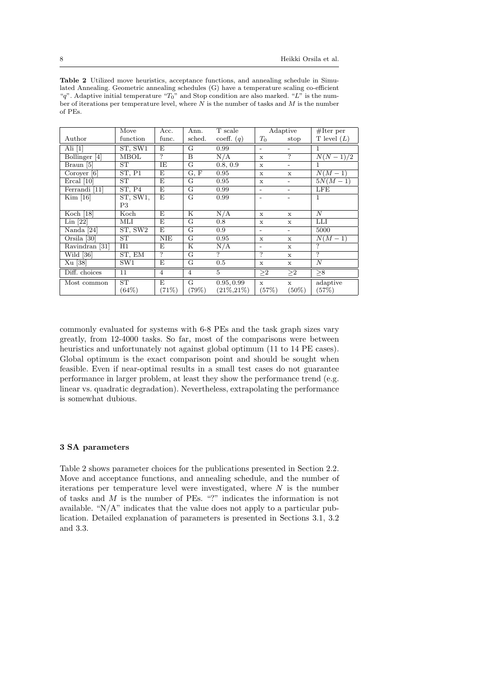<span id="page-7-0"></span>

| <b>Table 2</b> Utilized move heuristics, acceptance functions, and annealing schedule in Simu-  |
|-------------------------------------------------------------------------------------------------|
| lated Annealing. Geometric annealing schedules (G) have a temperature scaling co-efficient      |
| "q". Adaptive initial temperature " $T_0$ " and Stop condition are also marked. "L" is the num- |
| ber of iterations per temperature level, where N is the number of tasks and M is the number     |
| of PEs.                                                                                         |
|                                                                                                 |

|                      | Move     | Acc.           | Ann.                    | T scale        |                          | Adaptive                 | $#$ Iter per     |
|----------------------|----------|----------------|-------------------------|----------------|--------------------------|--------------------------|------------------|
| Author               | function | func.          | sched.                  | coeff. $(q)$   | $T_0$                    | stop                     | T level $(L)$    |
| Ali $[1]$            | ST, SW1  | F.             | G                       | 0.99           | $\overline{\phantom{0}}$ | -                        |                  |
| Bollinger [4]        | MBOL     | $\overline{?}$ | B                       | N/A            | X                        | $\overline{\mathcal{L}}$ | $N(N-1)/2$       |
| Braun [5]            | ST       | ΙE             | G                       | 0.8, 0.9       | $\mathbf x$              | $\overline{\phantom{0}}$ | 1                |
| Coroyer $[6]$        | ST, P1   | F.             | G, F                    | 0.95           | X                        | X                        | $N(M-1)$         |
| Ercal [10]           | ST       | E,             | G                       | 0.95           | $\mathbf x$              | -                        | $5N(M-1)$        |
| Ferrandi [11]        | ST, P4   | E              | $\overline{G}$          | 0.99           | $\overline{\phantom{a}}$ | -                        | LFE              |
| Kim [16]             | ST, SW1, | $\overline{E}$ | G                       | 0.99           | $\overline{\phantom{0}}$ |                          | 1                |
|                      | P3       |                |                         |                |                          |                          |                  |
| Koch $[18]$          | Koch     | E              | $\overline{\mathrm{K}}$ | N/A            | $\mathbf{x}$             | X                        | $\overline{N}$   |
| $Lin$ $[22]$         | МLI      | E              | G                       | 0.8            | X                        | $\mathbf x$              | LLI              |
| Nanda [24]           | ST, SW2  | E              | G                       | 0.9            | $\overline{\phantom{a}}$ | $\overline{\phantom{a}}$ | 5000             |
| Orsila [30]          | ST       | <b>NIE</b>     | G                       | 0.95           | $\mathbf x$              | $\mathbf x$              | $N(M-1)$         |
| Ravindran [31]       | H1       | E              | Κ                       | N/A            | $\overline{\phantom{0}}$ | $\mathbf x$              | ?                |
| Wild $\overline{36}$ | ST, EM   | $\overline{?}$ | $\overline{G}$          | $\overline{?}$ | ?                        | $\mathbf x$              | ?                |
| Xu [38]              | SW1      | E              | G                       | 0.5            | $\mathbf x$              | $\mathbf x$              | $\boldsymbol{N}$ |
| Diff. choices        | 11       | $\overline{4}$ | $\overline{4}$          | $\overline{5}$ | $\geq$ 2                 | $\geq$ 2                 | > 8              |
| Most common          | ST       | F.             | G                       | 0.95, 0.99     | $\mathbf x$              | $\mathbf{x}$             | adaptive         |
|                      | (64%)    | (71%)          | (79%)                   | $(21\%, 21\%)$ | (57%)                    | $(50\%)$                 | (57%)            |

commonly evaluated for systems with 6-8 PEs and the task graph sizes vary greatly, from 12-4000 tasks. So far, most of the comparisons were between heuristics and unfortunately not against global optimum (11 to 14 PE cases). Global optimum is the exact comparison point and should be sought when feasible. Even if near-optimal results in a small test cases do not guarantee performance in larger problem, at least they show the performance trend (e.g. linear vs. quadratic degradation). Nevertheless, extrapolating the performance is somewhat dubious.

# 3 SA parameters

Table [2](#page-7-0) shows parameter choices for the publications presented in Section [2.2.](#page-4-1) Move and acceptance functions, and annealing schedule, and the number of iterations per temperature level were investigated, where  $N$  is the number of tasks and M is the number of PEs. "?" indicates the information is not available. "N/A" indicates that the value does not apply to a particular publication. Detailed explanation of parameters is presented in Sections [3.1,](#page-8-0) [3.2](#page-9-0) and [3.3.](#page-10-0)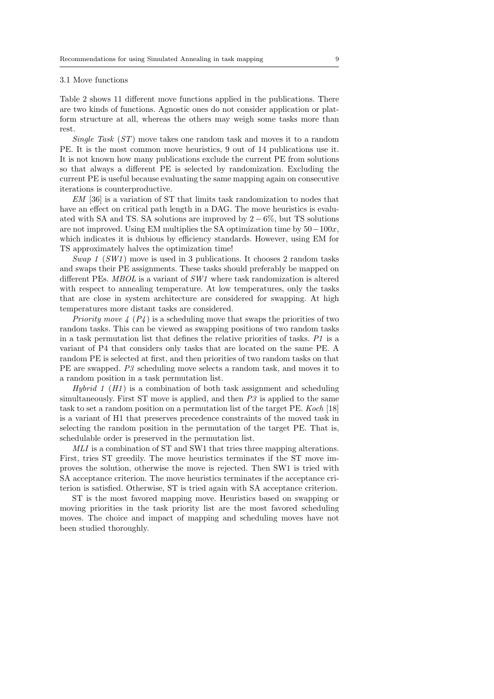#### <span id="page-8-0"></span>3.1 Move functions

Table [2](#page-7-0) shows 11 different move functions applied in the publications. There are two kinds of functions. Agnostic ones do not consider application or platform structure at all, whereas the others may weigh some tasks more than rest.

Single Task (ST) move takes one random task and moves it to a random PE. It is the most common move heuristics, 9 out of 14 publications use it. It is not known how many publications exclude the current PE from solutions so that always a different PE is selected by randomization. Excluding the current PE is useful because evaluating the same mapping again on consecutive iterations is counterproductive.

EM [\[36\]](#page-29-3) is a variation of ST that limits task randomization to nodes that have an effect on critical path length in a DAG. The move heuristics is evaluated with SA and TS. SA solutions are improved by  $2-6\%$ , but TS solutions are not improved. Using EM multiplies the SA optimization time by  $50-100x$ , which indicates it is dubious by efficiency standards. However, using EM for TS approximately halves the optimization time!

Swap 1 (SW1) move is used in 3 publications. It chooses 2 random tasks and swaps their PE assignments. These tasks should preferably be mapped on different PEs. MBOL is a variant of SW1 where task randomization is altered with respect to annealing temperature. At low temperatures, only the tasks that are close in system architecture are considered for swapping. At high temperatures more distant tasks are considered.

*Priority move*  $4 \left(P_4\right)$  is a scheduling move that swaps the priorities of two random tasks. This can be viewed as swapping positions of two random tasks in a task permutation list that defines the relative priorities of tasks. P1 is a variant of P4 that considers only tasks that are located on the same PE. A random PE is selected at first, and then priorities of two random tasks on that PE are swapped. P3 scheduling move selects a random task, and moves it to a random position in a task permutation list.

*Hybrid 1* ( $H1$ ) is a combination of both task assignment and scheduling simultaneously. First ST move is applied, and then  $P3$  is applied to the same task to set a random position on a permutation list of the target PE. Koch [\[18\]](#page-28-7) is a variant of H1 that preserves precedence constraints of the moved task in selecting the random position in the permutation of the target PE. That is, schedulable order is preserved in the permutation list.

MLI is a combination of ST and SW1 that tries three mapping alterations. First, tries ST greedily. The move heuristics terminates if the ST move improves the solution, otherwise the move is rejected. Then SW1 is tried with SA acceptance criterion. The move heuristics terminates if the acceptance criterion is satisfied. Otherwise, ST is tried again with SA acceptance criterion.

ST is the most favored mapping move. Heuristics based on swapping or moving priorities in the task priority list are the most favored scheduling moves. The choice and impact of mapping and scheduling moves have not been studied thoroughly.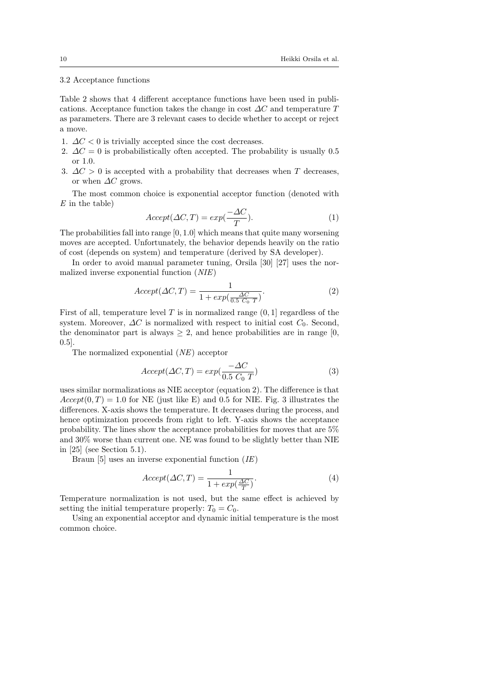## <span id="page-9-0"></span>3.2 Acceptance functions

Table [2](#page-7-0) shows that 4 different acceptance functions have been used in publications. Acceptance function takes the change in cost  $\Delta C$  and temperature T as parameters. There are 3 relevant cases to decide whether to accept or reject a move.

- 1.  $\Delta C < 0$  is trivially accepted since the cost decreases.
- 2.  $\Delta C = 0$  is probabilistically often accepted. The probability is usually 0.5 or 1.0.
- 3.  $\Delta C > 0$  is accepted with a probability that decreases when T decreases, or when  $\Delta C$  grows.

The most common choice is exponential acceptor function (denoted with  $E$  in the table)

$$
Accept(\Delta C, T) = exp(\frac{-\Delta C}{T}).
$$
\n(1)

The probabilities fall into range [0, 1.0] which means that quite many worsening moves are accepted. Unfortunately, the behavior depends heavily on the ratio of cost (depends on system) and temperature (derived by SA developer).

In order to avoid manual parameter tuning, Orsila [\[30\]](#page-29-1) [\[27\]](#page-29-7) uses the normalized inverse exponential function (NIE)

<span id="page-9-1"></span>
$$
Accept(\Delta C, T) = \frac{1}{1 + exp(\frac{\Delta C}{0.5 C_0 T})}.
$$
\n(2)

First of all, temperature level  $T$  is in normalized range  $(0, 1]$  regardless of the system. Moreover,  $\Delta C$  is normalized with respect to initial cost  $C_0$ . Second, the denominator part is always  $\geq 2$ , and hence probabilities are in range [0, 0.5].

The normalized exponential (NE) acceptor

<span id="page-9-2"></span>
$$
Accept(\Delta C, T) = exp(\frac{-\Delta C}{0.5 C_0 T})
$$
\n(3)

uses similar normalizations as NIE acceptor (equation [2\)](#page-9-1). The difference is that  $Accept(0, T) = 1.0$  for NE (just like E) and 0.5 for NIE. Fig. [3](#page-10-1) illustrates the differences. X-axis shows the temperature. It decreases during the process, and hence optimization proceeds from right to left. Y-axis shows the acceptance probability. The lines show the acceptance probabilities for moves that are 5% and 30% worse than current one. NE was found to be slightly better than NIE in [\[25\]](#page-28-15) (see Section [5.1\)](#page-23-1).

Braun [\[5\]](#page-28-2) uses an inverse exponential function  $(IE)$ 

$$
Accept(\Delta C, T) = \frac{1}{1 + exp(\frac{\Delta C}{T})}.
$$
\n(4)

Temperature normalization is not used, but the same effect is achieved by setting the initial temperature properly:  $T_0 = C_0$ .

Using an exponential acceptor and dynamic initial temperature is the most common choice.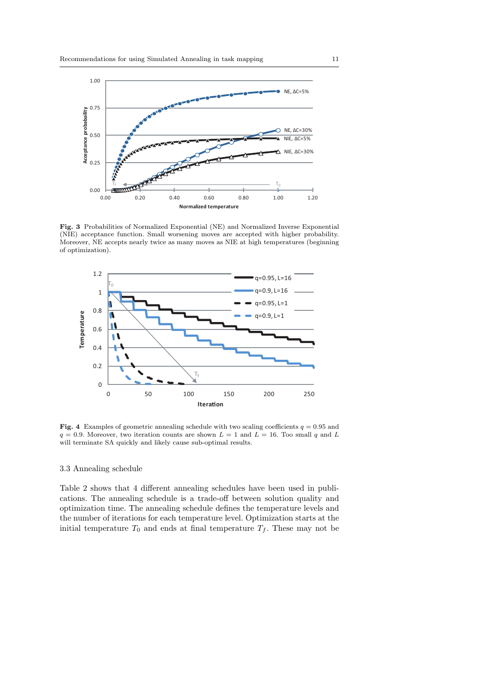

<span id="page-10-1"></span>Fig. 3 Probabilities of Normalized Exponential (NE) and Normalized Inverse Exponential (NIE) acceptance function. Small worsening moves are accepted with higher probability. Moreover, NE accepts nearly twice as many moves as NIE at high temperatures (beginning of optimization).



<span id="page-10-2"></span>Fig. 4 Examples of geometric annealing schedule with two scaling coefficients  $q = 0.95$  and  $q = 0.9$ . Moreover, two iteration counts are shown  $L = 1$  and  $L = 16$ . Too small q and L will terminate SA quickly and likely cause sub-optimal results.

# <span id="page-10-0"></span>3.3 Annealing schedule

Table [2](#page-7-0) shows that 4 different annealing schedules have been used in publications. The annealing schedule is a trade-off between solution quality and optimization time. The annealing schedule defines the temperature levels and the number of iterations for each temperature level. Optimization starts at the initial temperature  $T_0$  and ends at final temperature  $T_f$ . These may not be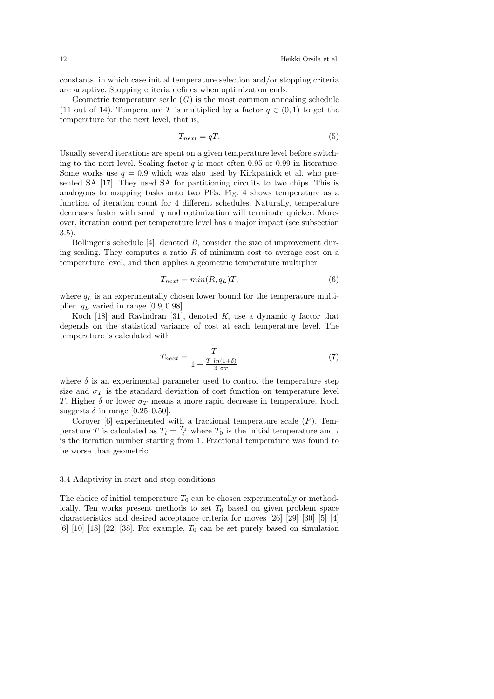constants, in which case initial temperature selection and/or stopping criteria are adaptive. Stopping criteria defines when optimization ends.

Geometric temperature scale  $(G)$  is the most common annealing schedule (11 out of 14). Temperature T is multiplied by a factor  $q \in (0,1)$  to get the temperature for the next level, that is,

$$
T_{next} = qT.\t\t(5)
$$

Usually several iterations are spent on a given temperature level before switching to the next level. Scaling factor  $q$  is most often 0.95 or 0.99 in literature. Some works use  $q = 0.9$  which was also used by Kirkpatrick et al. who presented SA [\[17\]](#page-28-16). They used SA for partitioning circuits to two chips. This is analogous to mapping tasks onto two PEs. Fig. [4](#page-10-2) shows temperature as a function of iteration count for 4 different schedules. Naturally, temperature decreases faster with small  $q$  and optimization will terminate quicker. Moreover, iteration count per temperature level has a major impact (see subsection [3.5\)](#page-12-1).

Bollinger's schedule [\[4\]](#page-27-2), denoted B, consider the size of improvement during scaling. They computes a ratio  $R$  of minimum cost to average cost on a temperature level, and then applies a geometric temperature multiplier

$$
T_{next} = min(R, q_L)T,
$$
\n(6)

where  $q_L$  is an experimentally chosen lower bound for the temperature multiplier.  $q_L$  varied in range [0.9, 0.98].

Koch [\[18\]](#page-28-7) and Ravindran [\[31\]](#page-29-2), denoted K, use a dynamic  $q$  factor that depends on the statistical variance of cost at each temperature level. The temperature is calculated with

$$
T_{next} = \frac{T}{1 + \frac{T \ln(1+\delta)}{3 \sigma_T}}\tag{7}
$$

where  $\delta$  is an experimental parameter used to control the temperature step size and  $\sigma_T$  is the standard deviation of cost function on temperature level T. Higher  $\delta$  or lower  $\sigma_T$  means a more rapid decrease in temperature. Koch suggests  $\delta$  in range [0.25, 0.50].

Coroyer [\[6\]](#page-28-3) experimented with a fractional temperature scale  $(F)$ . Temperature T is calculated as  $T_i = \frac{T_0}{i}$  where  $T_0$  is the initial temperature and i is the iteration number starting from 1. Fractional temperature was found to be worse than geometric.

## 3.4 Adaptivity in start and stop conditions

The choice of initial temperature  $T_0$  can be chosen experimentally or methodically. Ten works present methods to set  $T_0$  based on given problem space characteristics and desired acceptance criteria for moves [\[26\]](#page-29-8) [\[29\]](#page-29-9) [\[30\]](#page-29-1) [\[5\]](#page-28-2) [\[4\]](#page-27-2) [\[6\]](#page-28-3) [\[10\]](#page-28-4) [\[18\]](#page-28-7) [\[22\]](#page-28-8) [\[38\]](#page-29-4). For example,  $T_0$  can be set purely based on simulation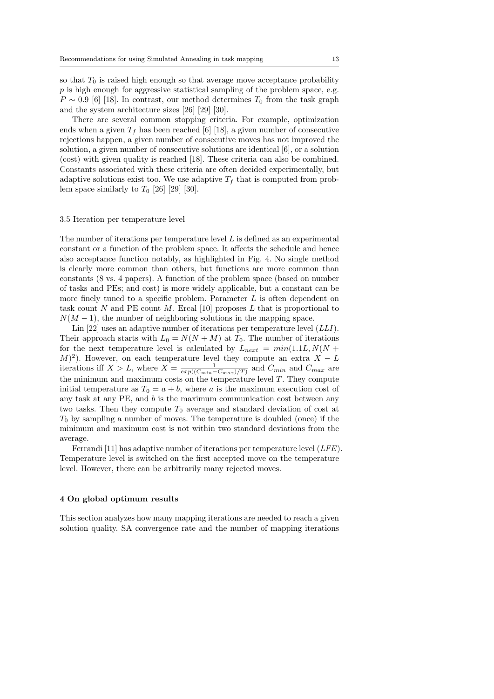so that  $T_0$  is raised high enough so that average move acceptance probability  $p$  is high enough for aggressive statistical sampling of the problem space, e.g.  $P \sim 0.9$  [\[6\]](#page-28-3) [\[18\]](#page-28-7). In contrast, our method determines  $T_0$  from the task graph and the system architecture sizes [\[26\]](#page-29-8) [\[29\]](#page-29-9) [\[30\]](#page-29-1).

There are several common stopping criteria. For example, optimization ends when a given  $T_f$  has been reached [\[6\]](#page-28-3) [\[18\]](#page-28-7), a given number of consecutive rejections happen, a given number of consecutive moves has not improved the solution, a given number of consecutive solutions are identical [\[6\]](#page-28-3), or a solution (cost) with given quality is reached [\[18\]](#page-28-7). These criteria can also be combined. Constants associated with these criteria are often decided experimentally, but adaptive solutions exist too. We use adaptive  $T_f$  that is computed from problem space similarly to  $T_0$  [\[26\]](#page-29-8) [\[29\]](#page-29-9) [\[30\]](#page-29-1).

#### <span id="page-12-1"></span>3.5 Iteration per temperature level

The number of iterations per temperature level  $L$  is defined as an experimental constant or a function of the problem space. It affects the schedule and hence also acceptance function notably, as highlighted in Fig. [4.](#page-10-2) No single method is clearly more common than others, but functions are more common than constants (8 vs. 4 papers). A function of the problem space (based on number of tasks and PEs; and cost) is more widely applicable, but a constant can be more finely tuned to a specific problem. Parameter  $L$  is often dependent on task count N and PE count M. Ercal [\[10\]](#page-28-4) proposes  $L$  that is proportional to  $N(M-1)$ , the number of neighboring solutions in the mapping space.

Lin  $[22]$  uses an adaptive number of iterations per temperature level  $(LLI)$ . Their approach starts with  $L_0 = N(N + M)$  at  $T_0$ . The number of iterations for the next temperature level is calculated by  $L_{next} = min(1.1L, N(N +$  $(M)^2$ ). However, on each temperature level they compute an extra  $X - L$ iterations iff  $X > L$ , where  $X = \frac{1}{exp((C_{min}-C_{max})/T)}$  and  $C_{min}$  and  $C_{max}$  are the minimum and maximum costs on the temperature level  $T$ . They compute initial temperature as  $T_0 = a + b$ , where a is the maximum execution cost of any task at any PE, and b is the maximum communication cost between any two tasks. Then they compute  $T_0$  average and standard deviation of cost at  $T_0$  by sampling a number of moves. The temperature is doubled (once) if the minimum and maximum cost is not within two standard deviations from the average.

Ferrandi [\[11\]](#page-28-5) has adaptive number of iterations per temperature level (LFE). Temperature level is switched on the first accepted move on the temperature level. However, there can be arbitrarily many rejected moves.

# <span id="page-12-0"></span>4 On global optimum results

This section analyzes how many mapping iterations are needed to reach a given solution quality. SA convergence rate and the number of mapping iterations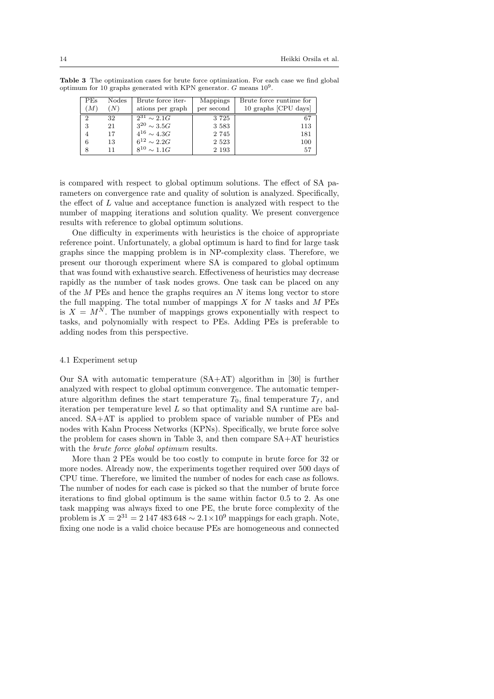<span id="page-13-0"></span>

| <b>PEs</b><br>(M)       | <b>Nodes</b><br>$\left( N\right)$ | Brute force iter-<br>ations per graph                                                            | Mappings<br>per second                | Brute force runtime for<br>10 graphs [CPU days] |
|-------------------------|-----------------------------------|--------------------------------------------------------------------------------------------------|---------------------------------------|-------------------------------------------------|
| $\mathcal{D}$<br>3<br>6 | 32<br>21<br>17<br>13              | $\overline{2}^{31} \sim 2.1$<br>$3^{20} \sim 3.5 G$<br>$4^{16} \sim 4.3G$<br>$6^{12} \sim 2.2 G$ | 3725<br>3 5 8 3<br>2 7 4 5<br>2 5 2 3 | 67<br>113<br>181<br>100                         |
| 8                       | 11                                | $8^{10} \sim 1.1 G$                                                                              | 2 1 9 3                               | 57                                              |

Table 3 The optimization cases for brute force optimization. For each case we find global optimum for 10 graphs generated with KPN generator.  $G$  means  $10^9$ .

is compared with respect to global optimum solutions. The effect of SA parameters on convergence rate and quality of solution is analyzed. Specifically, the effect of L value and acceptance function is analyzed with respect to the number of mapping iterations and solution quality. We present convergence results with reference to global optimum solutions.

One difficulty in experiments with heuristics is the choice of appropriate reference point. Unfortunately, a global optimum is hard to find for large task graphs since the mapping problem is in NP-complexity class. Therefore, we present our thorough experiment where SA is compared to global optimum that was found with exhaustive search. Effectiveness of heuristics may decrease rapidly as the number of task nodes grows. One task can be placed on any of the  $M$  PEs and hence the graphs requires an  $N$  items long vector to store the full mapping. The total number of mappings  $X$  for  $N$  tasks and  $M$  PEs is  $X = M<sup>N</sup>$ . The number of mappings grows exponentially with respect to tasks, and polynomially with respect to PEs. Adding PEs is preferable to adding nodes from this perspective.

#### 4.1 Experiment setup

Our SA with automatic temperature (SA+AT) algorithm in [\[30\]](#page-29-1) is further analyzed with respect to global optimum convergence. The automatic temperature algorithm defines the start temperature  $T_0$ , final temperature  $T_f$ , and iteration per temperature level L so that optimality and SA runtime are balanced. SA+AT is applied to problem space of variable number of PEs and nodes with Kahn Process Networks (KPNs). Specifically, we brute force solve the problem for cases shown in Table [3,](#page-13-0) and then compare SA+AT heuristics with the *brute force global optimum* results.

More than 2 PEs would be too costly to compute in brute force for 32 or more nodes. Already now, the experiments together required over 500 days of CPU time. Therefore, we limited the number of nodes for each case as follows. The number of nodes for each case is picked so that the number of brute force iterations to find global optimum is the same within factor 0.5 to 2. As one task mapping was always fixed to one PE, the brute force complexity of the problem is  $X = 2^{31} = 2147483648 \sim 2.1 \times 10^9$  mappings for each graph. Note, fixing one node is a valid choice because PEs are homogeneous and connected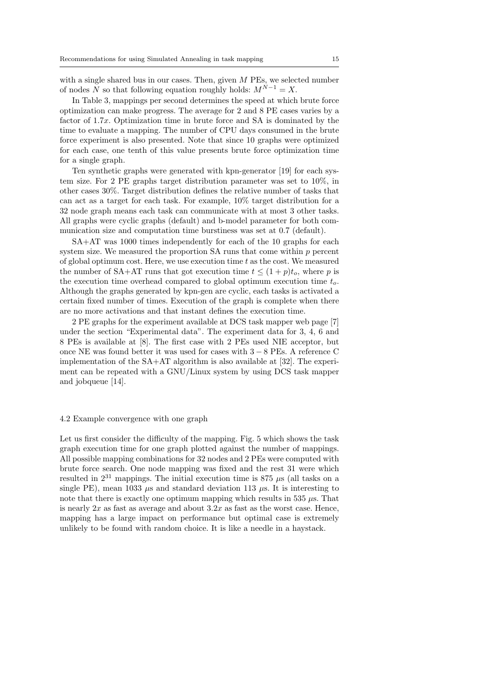with a single shared bus in our cases. Then, given M PEs, we selected number of nodes N so that following equation roughly holds:  $M^{N-1} = X$ .

In Table [3,](#page-13-0) mappings per second determines the speed at which brute force optimization can make progress. The average for 2 and 8 PE cases varies by a factor of 1.7x. Optimization time in brute force and SA is dominated by the time to evaluate a mapping. The number of CPU days consumed in the brute force experiment is also presented. Note that since 10 graphs were optimized for each case, one tenth of this value presents brute force optimization time for a single graph.

Ten synthetic graphs were generated with kpn-generator [\[19\]](#page-28-17) for each system size. For 2 PE graphs target distribution parameter was set to 10%, in other cases 30%. Target distribution defines the relative number of tasks that can act as a target for each task. For example, 10% target distribution for a 32 node graph means each task can communicate with at most 3 other tasks. All graphs were cyclic graphs (default) and b-model parameter for both communication size and computation time burstiness was set at 0.7 (default).

SA+AT was 1000 times independently for each of the 10 graphs for each system size. We measured the proportion SA runs that come within p percent of global optimum cost. Here, we use execution time  $t$  as the cost. We measured the number of SA+AT runs that got execution time  $t \leq (1+p)t_o$ , where p is the execution time overhead compared to global optimum execution time  $t_o$ . Although the graphs generated by kpn-gen are cyclic, each tasks is activated a certain fixed number of times. Execution of the graph is complete when there are no more activations and that instant defines the execution time.

2 PE graphs for the experiment available at DCS task mapper web page [\[7\]](#page-28-18) under the section "Experimental data". The experiment data for 3, 4, 6 and 8 PEs is available at [\[8\]](#page-28-19). The first case with 2 PEs used NIE acceptor, but once NE was found better it was used for cases with 3 − 8 PEs. A reference C implementation of the SA+AT algorithm is also available at [\[32\]](#page-29-10). The experiment can be repeated with a GNU/Linux system by using DCS task mapper and jobqueue [\[14\]](#page-28-20).

#### 4.2 Example convergence with one graph

Let us first consider the difficulty of the mapping. Fig. [5](#page-15-0) which shows the task graph execution time for one graph plotted against the number of mappings. All possible mapping combinations for 32 nodes and 2 PEs were computed with brute force search. One node mapping was fixed and the rest 31 were which resulted in  $2^{31}$  mappings. The initial execution time is 875  $\mu$ s (all tasks on a single PE), mean 1033  $\mu$ s and standard deviation 113  $\mu$ s. It is interesting to note that there is exactly one optimum mapping which results in 535  $\mu$ s. That is nearly  $2x$  as fast as average and about  $3.2x$  as fast as the worst case. Hence, mapping has a large impact on performance but optimal case is extremely unlikely to be found with random choice. It is like a needle in a haystack.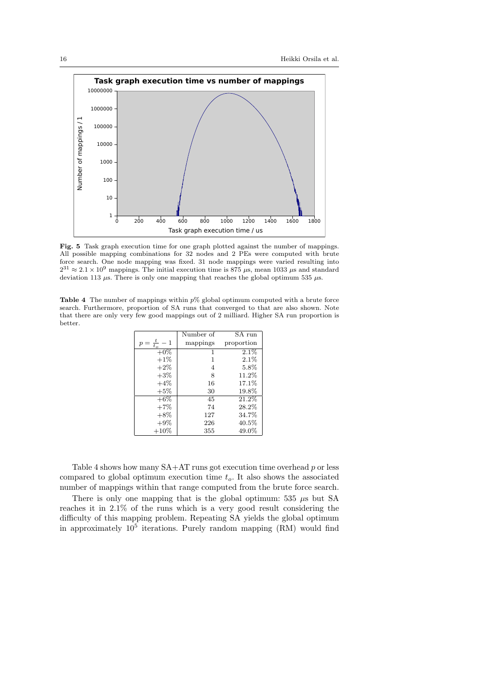

<span id="page-15-0"></span>Fig. 5 Task graph execution time for one graph plotted against the number of mappings. All possible mapping combinations for 32 nodes and 2 PEs were computed with brute force search. One node mapping was fixed. 31 node mappings were varied resulting into  $2^{31} \approx 2.1 \times 10^9$  mappings. The initial execution time is 875  $\mu$ s, mean 1033  $\mu$ s and standard deviation 113  $\mu$ s. There is only one mapping that reaches the global optimum 535  $\mu$ s.

<span id="page-15-1"></span>**Table 4** The number of mappings within  $p\%$  global optimum computed with a brute force search. Furthermore, proportion of SA runs that converged to that are also shown. Note that there are only very few good mappings out of 2 milliard. Higher SA run proportion is better.

|         | Number of | SA run     |
|---------|-----------|------------|
| $t_{0}$ | mappings  | proportion |
| $+0\%$  | 1         | 2.1%       |
| $+1\%$  | 1         | 2.1%       |
| $+2\%$  | 4         | 5.8%       |
| $+3\%$  | 8         | 11.2%      |
| $+4\%$  | 16        | 17.1%      |
| $+5\%$  | 30        | $19.8\%$   |
| $+6\%$  | 45        | 21.2%      |
| $+7\%$  | 74        | 28.2%      |
| $+8\%$  | 127       | 34.7%      |
| $+9\%$  | 226       | $40.5\%$   |
| $+10\%$ | 355       | $49.0\%$   |

Table [4](#page-15-1) shows how many  $SA+AT$  runs got execution time overhead  $p$  or less compared to global optimum execution time  $t<sub>o</sub>$ . It also shows the associated number of mappings within that range computed from the brute force search.

There is only one mapping that is the global optimum: 535  $\mu$ s but SA reaches it in 2.1% of the runs which is a very good result considering the difficulty of this mapping problem. Repeating SA yields the global optimum in approximately  $10^5$  iterations. Purely random mapping (RM) would find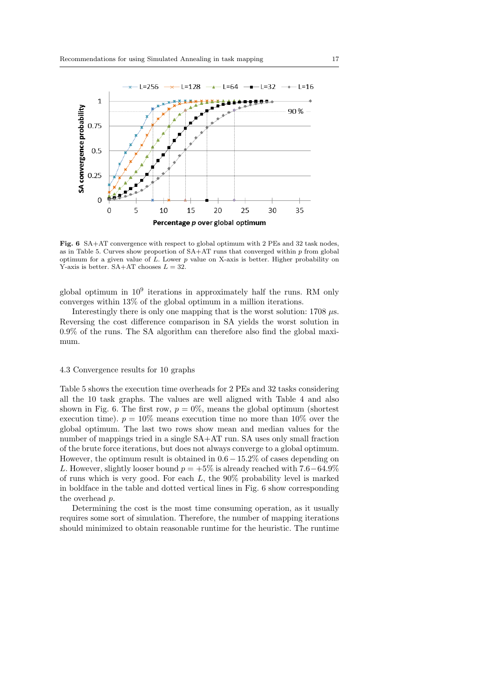

<span id="page-16-0"></span>Fig. 6 SA+AT convergence with respect to global optimum with 2 PEs and 32 task nodes, as in Table [5.](#page-17-0) Curves show proportion of  $SA+AT$  runs that converged within p from global optimum for a given value of  $L$ . Lower  $p$  value on X-axis is better. Higher probability on Y-axis is better.  $SA+AT$  chooses  $L = 32$ .

global optimum in  $10^9$  iterations in approximately half the runs. RM only converges within 13% of the global optimum in a million iterations.

Interestingly there is only one mapping that is the worst solution:  $1708 \mu s$ . Reversing the cost difference comparison in SA yields the worst solution in 0.9% of the runs. The SA algorithm can therefore also find the global maximum.

# 4.3 Convergence results for 10 graphs

Table [5](#page-17-0) shows the execution time overheads for 2 PEs and 32 tasks considering all the 10 task graphs. The values are well aligned with Table [4](#page-15-1) and also shown in Fig. [6.](#page-16-0) The first row,  $p = 0\%$ , means the global optimum (shortest execution time).  $p = 10\%$  means execution time no more than 10% over the global optimum. The last two rows show mean and median values for the number of mappings tried in a single SA+AT run. SA uses only small fraction of the brute force iterations, but does not always converge to a global optimum. However, the optimum result is obtained in  $0.6 - 15.2\%$  of cases depending on L. However, slightly looser bound  $p = +5\%$  is already reached with  $7.6-64.9\%$ of runs which is very good. For each  $L$ , the 90% probability level is marked in boldface in the table and dotted vertical lines in Fig. [6](#page-16-0) show corresponding the overhead p.

Determining the cost is the most time consuming operation, as it usually requires some sort of simulation. Therefore, the number of mapping iterations should minimized to obtain reasonable runtime for the heuristic. The runtime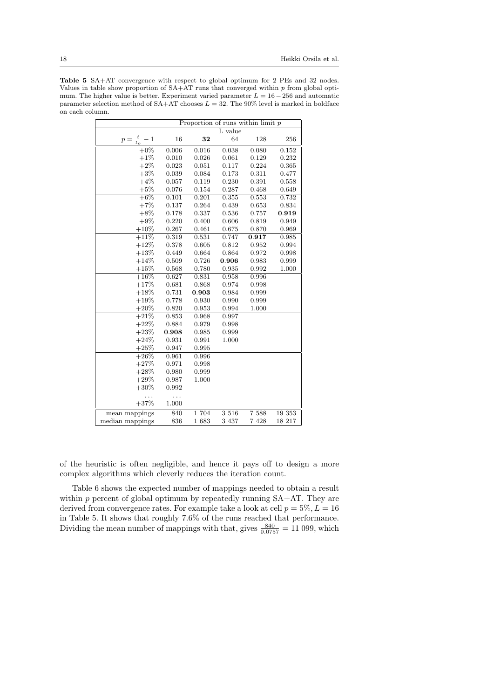<span id="page-17-0"></span>Table 5 SA+AT convergence with respect to global optimum for 2 PEs and 32 nodes. Values in table show proportion of  $SA+AT$  runs that converged within  $p$  from global optimum. The higher value is better. Experiment varied parameter  $L = 16 - 256$  and automatic parameter selection method of  $SA+AT$  chooses  $L = 32$ . The 90% level is marked in boldface on each column.

|                         | Proportion of runs within limit $p$ |             |         |         |        |
|-------------------------|-------------------------------------|-------------|---------|---------|--------|
|                         | L value                             |             |         |         |        |
| $p = \frac{t}{t_o} - 1$ | 16                                  | 32          | 64      | 128     | 256    |
| $+0\%$                  | 0.006                               | 0.016       | 0.038   | 0.080   | 0.152  |
| $+1\%$                  | 0.010                               | 0.026       | 0.061   | 0.129   | 0.232  |
| $+2\%$                  | 0.023                               | 0.051       | 0.117   | 0.224   | 0.365  |
| $+3%$                   | 0.039                               | 0.084       | 0.173   | 0.311   | 0.477  |
| $+4%$                   | 0.057                               | 0.119       | 0.230   | 0.391   | 0.558  |
| $+5\%$                  | 0.076                               | 0.154       | 0.287   | 0.468   | 0.649  |
| $+6\%$                  | 0.101                               | 0.201       | 0.355   | 0.553   | 0.732  |
| $+7\%$                  | 0.137                               | 0.264       | 0.439   | 0.653   | 0.834  |
| $+8\%$                  | 0.178                               | 0.337       | 0.536   | 0.757   | 0.919  |
| $+9\%$                  | 0.220                               | 0.400       | 0.606   | 0.819   | 0.949  |
| $+10%$                  | 0.267                               | 0.461       | 0.675   | 0.870   | 0.969  |
| $+11%$                  | 0.319                               | 0.531       | 0.747   | 0.917   | 0.985  |
| $+12%$                  | 0.378                               | $\,0.605\,$ | 0.812   | 0.952   | 0.994  |
| $+13%$                  | 0.449                               | 0.664       | 0.864   | 0.972   | 0.998  |
| $+14%$                  | 0.509                               | 0.726       | 0.906   | 0.983   | 0.999  |
| $+15%$                  | 0.568                               | 0.780       | 0.935   | 0.992   | 1.000  |
| $+16%$                  | 0.627                               | 0.831       | 0.958   | 0.996   |        |
| $+17%$                  | 0.681                               | 0.868       | 0.974   | 0.998   |        |
| $+18%$                  | 0.731                               | 0.903       | 0.984   | 0.999   |        |
| $+19%$                  | 0.778                               | 0.930       | 0.990   | 0.999   |        |
| $+20\%$                 | 0.820                               | 0.953       | 0.994   | 1.000   |        |
| $+21%$                  | 0.853                               | 0.968       | 0.997   |         |        |
| $+22%$                  | 0.884                               | 0.979       | 0.998   |         |        |
| $+23%$                  | 0.908                               | 0.985       | 0.999   |         |        |
| $+24%$                  | 0.931                               | 0.991       | 1.000   |         |        |
| $+25%$                  | 0.947                               | 0.995       |         |         |        |
| $+26\%$                 | 0.961                               | 0.996       |         |         |        |
| $+27%$                  | 0.971                               | 0.998       |         |         |        |
| $+28%$                  | 0.980                               | 0.999       |         |         |        |
| $+29%$                  | 0.987                               | 1.000       |         |         |        |
| $+30\%$                 | 0.992                               |             |         |         |        |
|                         | $\ddotsc$                           |             |         |         |        |
| $+37%$                  | 1.000                               |             |         |         |        |
| mean mappings           | 840                                 | 1 704       | 3 5 1 6 | 7 5 8 8 | 19 353 |
| median mappings         | 836                                 | 1683        | 3 4 3 7 | 7 4 2 8 | 18 217 |

of the heuristic is often negligible, and hence it pays off to design a more complex algorithms which cleverly reduces the iteration count.

Table [6](#page-18-0) shows the expected number of mappings needed to obtain a result within  $p$  percent of global optimum by repeatedly running  $SA+AT$ . They are derived from convergence rates. For example take a look at cell  $p = 5\%, L = 16$ in Table [5.](#page-17-0) It shows that roughly 7.6% of the runs reached that performance. Dividing the mean number of mappings with that, gives  $\frac{840}{0.0757} = 11099$ , which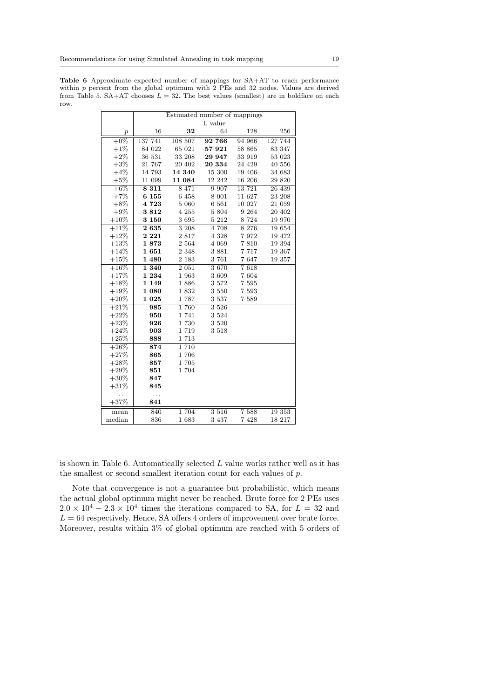<span id="page-18-0"></span>Table 6 Approximate expected number of mappings for SA+AT to reach performance within  $p$  percent from the global optimum with 2 PEs and 32 nodes. Values are derived from Table [5.](#page-17-0) SA+AT chooses  $L = 32$ . The best values (smallest) are in boldface on each row.

|                  | Estimated number of mappings |         |         |         |         |  |  |
|------------------|------------------------------|---------|---------|---------|---------|--|--|
|                  |                              |         | L value |         |         |  |  |
| $\boldsymbol{p}$ | 16                           | 32      | 64      | 128     | 256     |  |  |
| $+0\%$           | 137 741                      | 108 507 | 92 766  | 94 966  | 127 744 |  |  |
| $+1%$            | 84 022                       | 65 021  | 57921   | 58 865  | 83 347  |  |  |
| $+2\%$           | 36 531                       | 33 208  | 29 947  | 33 919  | 53 023  |  |  |
| $+3%$            | 21 767                       | 20 402  | 20 334  | 24 4 29 | 40 556  |  |  |
| $+4%$            | 14 793                       | 14 340  | 15 300  | 19 406  | 34 683  |  |  |
| $+5%$            | 11 099                       | 11 084  | 12 242  | 16 206  | 29 8 20 |  |  |
| $+6%$            | 8 3 1 1                      | 8 471   | 9 9 0 7 | 13 721  | 26 439  |  |  |
| $+7%$            | 6 1 5 5                      | 6 458   | 8 0 0 1 | 11 627  | 23 208  |  |  |
| $+8\%$           | 4723                         | 5 0 6 0 | 6 5 6 1 | 10 027  | 21 059  |  |  |
| $+9\%$           | 3812                         | 4 255   | 5 804   | 9 2 6 4 | 20 402  |  |  |
| $+10\%$          | 3 1 5 0                      | 3695    | 5 212   | 8 7 2 4 | 19 970  |  |  |
| $+11%$           | 2635                         | 3 2 0 8 | 4 708   | 8 2 7 6 | 19654   |  |  |
| $+12%$           | 2 2 2 1                      | 2817    | 4 3 2 8 | 7972    | 19 472  |  |  |
| $+13%$           | 1873                         | 2 5 6 4 | 4 0 6 9 | 7810    | 19 394  |  |  |
| $+14%$           | 1651                         | 2 3 4 8 | 3881    | 7 7 1 7 | 19 367  |  |  |
| $+15%$           | 1 480                        | 2 1 8 3 | 3 761   | 7647    | 19 357  |  |  |
| $+16%$           | 1340                         | 2 0 5 1 | 3670    | 7618    |         |  |  |
| $+17%$           | 1 2 3 4                      | 1 963   | 3 609   | 7 604   |         |  |  |
| $+18%$           | 1 1 4 9                      | 1886    | 3 572   | 7 5 9 5 |         |  |  |
| $+19%$           | 1 0 8 0                      | 1832    | 3 550   | 7 5 9 3 |         |  |  |
| $+20%$           | 1 0 2 5                      | 1 787   | 3 5 3 7 | 7 5 8 9 |         |  |  |
| $+21%$           | 985                          | 1760    | 3 5 2 6 |         |         |  |  |
| $+22%$           | 950                          | 1741    | 3 5 2 4 |         |         |  |  |
| $+23%$           | 926                          | 1 730   | 3 5 20  |         |         |  |  |
| $+24%$           | 903                          | 1 7 1 9 | 3 5 1 8 |         |         |  |  |
| $+25%$           | 888                          | 1713    |         |         |         |  |  |
| $+26%$           | 874                          | 1 7 1 0 |         |         |         |  |  |
| $+27%$           | 865                          | 1706    |         |         |         |  |  |
| $+28%$           | 857                          | 1705    |         |         |         |  |  |
| $+29%$           | 851                          | 1 704   |         |         |         |  |  |
| $+30\%$          | 847                          |         |         |         |         |  |  |
| $+31%$           | 845                          |         |         |         |         |  |  |
| .                | .                            |         |         |         |         |  |  |
| $+37%$           | 841                          |         |         |         |         |  |  |
| mean             | 840                          | 1 704   | 3 5 1 6 | 7 5 8 8 | 19 353  |  |  |
| median           | 836                          | 1683    | 3 437   | 7 4 2 8 | 18 217  |  |  |

is shown in Table [6.](#page-18-0) Automatically selected  $L$  value works rather well as it has the smallest or second smallest iteration count for each values of p.

Note that convergence is not a guarantee but probabilistic, which means the actual global optimum might never be reached. Brute force for 2 PEs uses  $2.0 \times 10^4 - 2.3 \times 10^4$  times the iterations compared to SA, for  $L = 32$  and  $L = 64$  respectively. Hence, SA offers 4 orders of improvement over brute force. Moreover, results within 3% of global optimum are reached with 5 orders of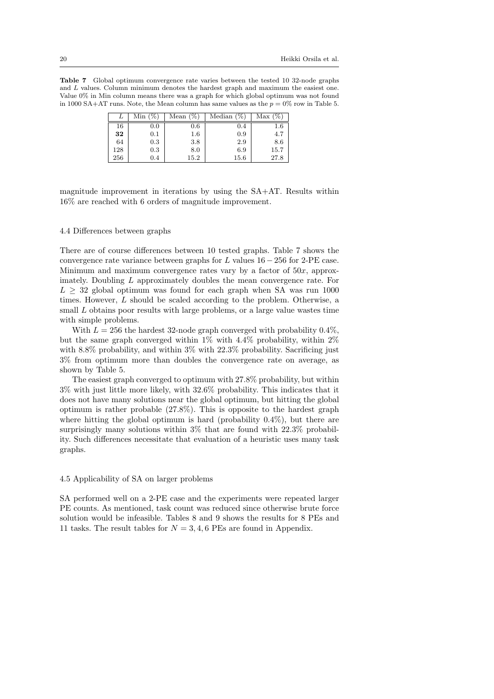<span id="page-19-0"></span>Table 7 Global optimum convergence rate varies between the tested 10 32-node graphs and L values. Column minimum denotes the hardest graph and maximum the easiest one. Value 0% in Min column means there was a graph for which global optimum was not found in 1000 SA+AT runs. Note, the Mean column has same values as the  $p = 0\%$  row in Table [5.](#page-17-0)

| ⊥   | $\%$ ,<br>Min | (%<br>Mean | Median | Max(%)   |
|-----|---------------|------------|--------|----------|
| 16  | $_{0.0}$      | 0.6        | 0.4    | $_{1.6}$ |
| 32  | 0.1           | $^{1.6}$   | 0.9    | 4.7      |
| 64  | 0.3           | 3.8        | 2.9    | 8.6      |
| 128 | 0.3           | 8.0        | 6.9    | 15.7     |
| 256 | $0.4\,$       | $15.2\,$   | 15.6   | 27.8     |

magnitude improvement in iterations by using the SA+AT. Results within 16% are reached with 6 orders of magnitude improvement.

# 4.4 Differences between graphs

There are of course differences between 10 tested graphs. Table [7](#page-19-0) shows the convergence rate variance between graphs for  $L$  values  $16 - 256$  for 2-PE case. Minimum and maximum convergence rates vary by a factor of  $50x$ , approximately. Doubling L approximately doubles the mean convergence rate. For  $L \geq 32$  global optimum was found for each graph when SA was run 1000 times. However, L should be scaled according to the problem. Otherwise, a small L obtains poor results with large problems, or a large value wastes time with simple problems.

With  $L = 256$  the hardest 32-node graph converged with probability 0.4%, but the same graph converged within 1% with 4.4% probability, within 2% with 8.8% probability, and within 3% with 22.3% probability. Sacrificing just 3% from optimum more than doubles the convergence rate on average, as shown by Table [5.](#page-17-0)

The easiest graph converged to optimum with 27.8% probability, but within 3% with just little more likely, with 32.6% probability. This indicates that it does not have many solutions near the global optimum, but hitting the global optimum is rather probable (27.8%). This is opposite to the hardest graph where hitting the global optimum is hard (probability  $0.4\%$ ), but there are surprisingly many solutions within 3% that are found with 22.3% probability. Such differences necessitate that evaluation of a heuristic uses many task graphs.

## 4.5 Applicability of SA on larger problems

SA performed well on a 2-PE case and the experiments were repeated larger PE counts. As mentioned, task count was reduced since otherwise brute force solution would be infeasible. Tables [8](#page-20-0) and [9](#page-20-1) shows the results for 8 PEs and 11 tasks. The result tables for  $N = 3, 4, 6$  PEs are found in Appendix.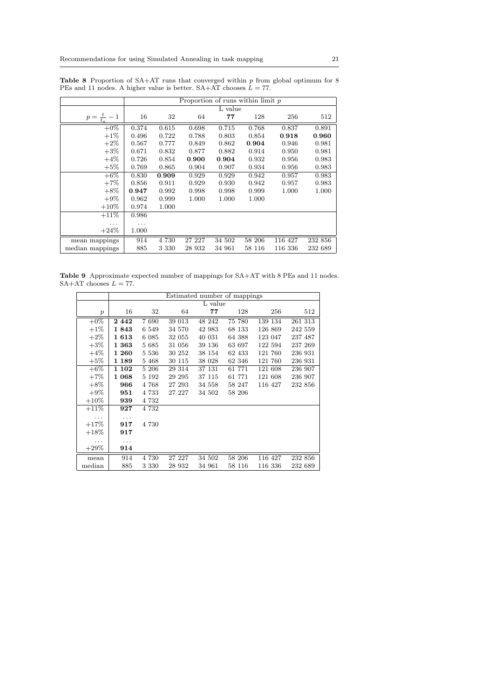|                     |       | Proportion of runs within $\lim_{p \to \infty} p$ |        |         |        |         |         |  |  |
|---------------------|-------|---------------------------------------------------|--------|---------|--------|---------|---------|--|--|
|                     |       |                                                   |        | L value |        |         |         |  |  |
| $p=\frac{t}{t_o}-1$ | 16    | 32                                                | 64     | 77      | 128    | 256     | 512     |  |  |
| $+0\%$              | 0.374 | 0.615                                             | 0.698  | 0.715   | 0.768  | 0.837   | 0.891   |  |  |
| $+1\%$              | 0.496 | 0.722                                             | 0.788  | 0.803   | 0.854  | 0.918   | 0.960   |  |  |
| $+2\%$              | 0.567 | 0.777                                             | 0.849  | 0.862   | 0.904  | 0.946   | 0.981   |  |  |
| $+3\%$              | 0.671 | 0.832                                             | 0.877  | 0.882   | 0.914  | 0.950   | 0.981   |  |  |
| $+4\%$              | 0.726 | 0.854                                             | 0.900  | 0.904   | 0.932  | 0.956   | 0.983   |  |  |
| $+5%$               | 0.769 | 0.865                                             | 0.904  | 0.907   | 0.934  | 0.956   | 0.983   |  |  |
| $+6\%$              | 0.830 | 0.909                                             | 0.929  | 0.929   | 0.942  | 0.957   | 0.983   |  |  |
| $+7%$               | 0.856 | 0.911                                             | 0.929  | 0.930   | 0.942  | 0.957   | 0.983   |  |  |
| $+8\%$              | 0.947 | 0.992                                             | 0.998  | 0.998   | 0.999  | 1.000   | 1.000   |  |  |
| $+9\%$              | 0.962 | 0.999                                             | 1.000  | 1.000   | 1.000  |         |         |  |  |
| $+10\%$             | 0.974 | 1.000                                             |        |         |        |         |         |  |  |
| $+11%$              | 0.986 |                                                   |        |         |        |         |         |  |  |
|                     | .     |                                                   |        |         |        |         |         |  |  |
| $+24%$              | 1.000 |                                                   |        |         |        |         |         |  |  |
| mean mappings       | 914   | 4 730                                             | 27 227 | 34 502  | 58 206 | 116 427 | 232 856 |  |  |
| median mappings     | 885   | 3 330                                             | 28 932 | 34 961  | 58 116 | 116 336 | 232 689 |  |  |

<span id="page-20-0"></span>**Table 8** Proportion of  $SA+AT$  runs that converged within p from global optimum for 8 PEs and 11 nodes. A higher value is better.  $SA+AT$  chooses  $L = 77$ .

Table 9 Approximate expected number of mappings for SA+AT with 8 PEs and 11 nodes.  $SA+AT$  chooses  $L = 77$ .

<span id="page-20-1"></span>

|                  |       | Estimated number of mappings |        |         |        |         |         |  |  |
|------------------|-------|------------------------------|--------|---------|--------|---------|---------|--|--|
|                  |       |                              |        | L value |        |         |         |  |  |
| $\boldsymbol{p}$ | 16    | 32                           | 64     | 77      | 128    | 256     | 512     |  |  |
| $+0\%$           | 2442  | 7690                         | 39 013 | 48 242  | 75 780 | 139 134 | 261 313 |  |  |
| $+1\%$           | 1843  | 6 5 4 9                      | 34 570 | 42 983  | 68 133 | 126 869 | 242 559 |  |  |
| $+2\%$           | 1613  | 6 0 8 5                      | 32 055 | 40 031  | 64 388 | 123 047 | 237 487 |  |  |
| $+3\%$           | 1~363 | 5 685                        | 31 056 | 39 136  | 63 697 | 122 594 | 237 269 |  |  |
| $+4\%$           | 1~260 | 5 5 3 6                      | 30 252 | 38 154  | 62 433 | 121 760 | 236 931 |  |  |
| $+5\%$           | 1 189 | 5 4 6 8                      | 30 115 | 38 028  | 62 346 | 121 760 | 236 931 |  |  |
| $+6\%$           | 1 102 | 5 206                        | 29 314 | 37 131  | 61 771 | 121 608 | 236 907 |  |  |
| $+7%$            | 1~068 | 5 1 9 2                      | 29 295 | 37 115  | 61 771 | 121 608 | 236 907 |  |  |
| $+8\%$           | 966   | 4 768                        | 27 293 | 34 558  | 58 247 | 116 427 | 232 856 |  |  |
| $+9\%$           | 951   | 4 7 3 3                      | 27 227 | 34 502  | 58 206 |         |         |  |  |
| $+10\%$          | 939   | 4 7 3 2                      |        |         |        |         |         |  |  |
| $+11%$           | 927   | 4 7 3 2                      |        |         |        |         |         |  |  |
| .                | .     |                              |        |         |        |         |         |  |  |
| $+17%$           | 917   | 4 730                        |        |         |        |         |         |  |  |
| $+18\%$          | 917   |                              |        |         |        |         |         |  |  |
| .                | .     |                              |        |         |        |         |         |  |  |
| $+29%$           | 914   |                              |        |         |        |         |         |  |  |
| mean             | 914   | 4 730                        | 27 227 | 34 502  | 58 206 | 116 427 | 232 856 |  |  |
| median           | 885   | 3 3 3 0                      | 28 932 | 34 961  | 58 116 | 116 336 | 232 689 |  |  |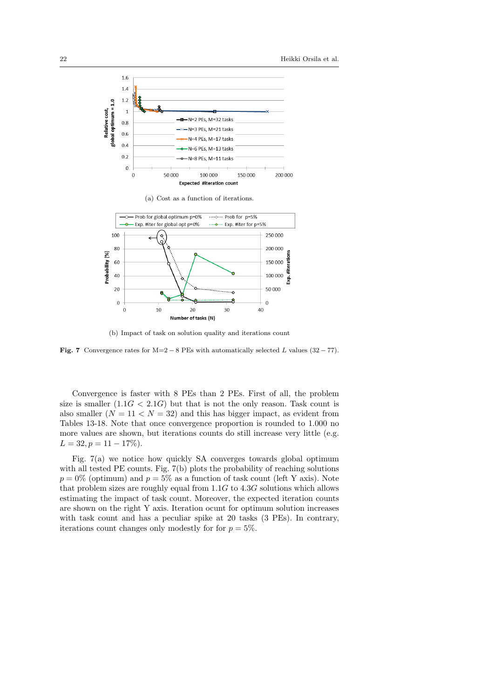<span id="page-21-0"></span>

(a) Cost as a function of iterations.



<span id="page-21-1"></span>(b) Impact of task on solution quality and iterations count

Fig. 7 Convergence rates for  $M=2-8$  PEs with automatically selected L values (32 – 77).

Convergence is faster with 8 PEs than 2 PEs. First of all, the problem size is smaller  $(1.1G < 2.1G)$  but that is not the only reason. Task count is also smaller  $(N = 11 < N = 32)$  and this has bigger impact, as evident from Tables [13-](#page-30-0)[18.](#page-35-0) Note that once convergence proportion is rounded to 1.000 no more values are shown, but iterations counts do still increase very little (e.g.  $L = 32, p = 11 - 17\%).$ 

Fig. [7\(a\)](#page-21-0) we notice how quickly SA converges towards global optimum with all tested PE counts. Fig. [7\(b\)](#page-21-1) plots the probability of reaching solutions  $p = 0\%$  (optimum) and  $p = 5\%$  as a function of task count (left Y axis). Note that problem sizes are roughly equal from  $1.1G$  to  $4.3G$  solutions which allows estimating the impact of task count. Moreover, the expected iteration counts are shown on the right Y axis. Iteration ocunt for optimum solution increases with task count and has a peculiar spike at 20 tasks (3 PEs). In contrary, iterations count changes only modestly for for  $p = 5\%$ .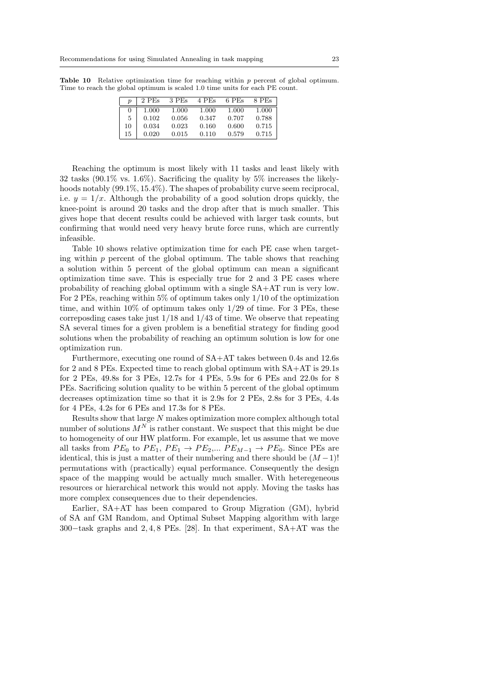<span id="page-22-0"></span>

|          | 2 PEs | 3 PEs | 4 PEs | 6 PEs | 8 PEs |
|----------|-------|-------|-------|-------|-------|
| $\theta$ | 1.000 | 1.000 | 1.000 | 1.000 | 1.000 |
| 5        | 0.102 | 0.056 | 0.347 | 0.707 | 0.788 |
| 10       | 0.034 | 0.023 | 0.160 | 0.600 | 0.715 |
| 15       | 0.020 | 0.015 | 0.110 | 0.579 | 0.715 |

**Table 10** Relative optimization time for reaching within  $p$  percent of global optimum. Time to reach the global optimum is scaled 1.0 time units for each PE count.

Reaching the optimum is most likely with 11 tasks and least likely with 32 tasks  $(90.1\% \text{ vs. } 1.6\%)$ . Sacrificing the quality by 5% increases the likelyhoods notably  $(99.1\%, 15.4\%)$ . The shapes of probability curve seem reciprocal, i.e.  $y = 1/x$ . Although the probability of a good solution drops quickly, the knee-point is around 20 tasks and the drop after that is much smaller. This gives hope that decent results could be achieved with larger task counts, but confirming that would need very heavy brute force runs, which are currently infeasible.

Table [10](#page-22-0) shows relative optimization time for each PE case when targeting within  $p$  percent of the global optimum. The table shows that reaching a solution within 5 percent of the global optimum can mean a significant optimization time save. This is especially true for 2 and 3 PE cases where probability of reaching global optimum with a single SA+AT run is very low. For 2 PEs, reaching within 5% of optimum takes only  $1/10$  of the optimization time, and within 10% of optimum takes only 1/29 of time. For 3 PEs, these correposding cases take just  $1/18$  and  $1/43$  of time. We observe that repeating SA several times for a given problem is a benefitial strategy for finding good solutions when the probability of reaching an optimum solution is low for one optimization run.

Furthermore, executing one round of SA+AT takes between 0.4s and 12.6s for 2 and 8 PEs. Expected time to reach global optimum with SA+AT is 29.1s for 2 PEs, 49.8s for 3 PEs, 12.7s for 4 PEs, 5.9s for 6 PEs and 22.0s for 8 PEs. Sacrificing solution quality to be within 5 percent of the global optimum decreases optimization time so that it is 2.9s for 2 PEs, 2.8s for 3 PEs, 4.4s for 4 PEs, 4.2s for 6 PEs and 17.3s for 8 PEs.

Results show that large N makes optimization more complex although total number of solutions  $M^N$  is rather constant. We suspect that this might be due to homogeneity of our HW platform. For example, let us assume that we move all tasks from  $PE_0$  to  $PE_1$ ,  $PE_1 \rightarrow PE_2$ ,...  $PE_{M-1} \rightarrow PE_0$ . Since PEs are identical, this is just a matter of their numbering and there should be  $(M-1)!$ permutations with (practically) equal performance. Consequently the design space of the mapping would be actually much smaller. With heteregeneous resources or hierarchical network this would not apply. Moving the tasks has more complex consequences due to their dependencies.

Earlier, SA+AT has been compared to Group Migration (GM), hybrid of SA anf GM Random, and Optimal Subset Mapping algorithm with large 300−task graphs and 2, 4, 8 PEs. [\[28\]](#page-29-11). In that experiment, SA+AT was the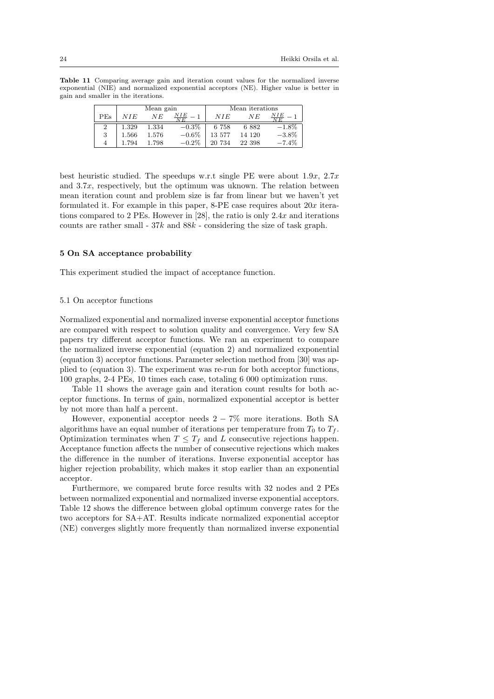Table 11 Comparing average gain and iteration count values for the normalized inverse exponential (NIE) and normalized exponential acceptors (NE). Higher value is better in gain and smaller in the iterations.

<span id="page-23-2"></span>

|     |       | Mean gain |                        | Mean iterations |        |          |
|-----|-------|-----------|------------------------|-----------------|--------|----------|
| PEs | NIE   | NE        | NIE<br>$\overline{NE}$ | NIE             | ΝE     |          |
| 2   | 1.329 | 1.334     | $-0.3\%$               | 6 758           | 6882   | $-1.8\%$ |
| 3   | 1.566 | 1.576     | $-0.6%$                | 13 577          | 14 120 | $-3.8\%$ |
| 4   | 794   | 1.798     | $-0.2\%$               | 20 734          | 22 398 | $-7.4%$  |

best heuristic studied. The speedups w.r.t single PE were about  $1.9x$ ,  $2.7x$ and  $3.7x$ , respectively, but the optimum was uknown. The relation between mean iteration count and problem size is far from linear but we haven't yet formulated it. For example in this paper,  $8$ -PE case requires about  $20x$  iterations compared to 2 PEs. However in [\[28\]](#page-29-11), the ratio is only 2.4x and iterations counts are rather small -  $37k$  and  $88k$  - considering the size of task graph.

#### <span id="page-23-0"></span>5 On SA acceptance probability

This experiment studied the impact of acceptance function.

## <span id="page-23-1"></span>5.1 On acceptor functions

Normalized exponential and normalized inverse exponential acceptor functions are compared with respect to solution quality and convergence. Very few SA papers try different acceptor functions. We ran an experiment to compare the normalized inverse exponential (equation [2\)](#page-9-1) and normalized exponential (equation [3\)](#page-9-2) acceptor functions. Parameter selection method from [\[30\]](#page-29-1) was applied to (equation [3\)](#page-9-2). The experiment was re-run for both acceptor functions, 100 graphs, 2-4 PEs, 10 times each case, totaling 6 000 optimization runs.

Table [11](#page-23-2) shows the average gain and iteration count results for both acceptor functions. In terms of gain, normalized exponential acceptor is better by not more than half a percent.

However, exponential acceptor needs  $2 - 7\%$  more iterations. Both SA algorithms have an equal number of iterations per temperature from  $T_0$  to  $T_f$ . Optimization terminates when  $T \leq T_f$  and L consecutive rejections happen. Acceptance function affects the number of consecutive rejections which makes the difference in the number of iterations. Inverse exponential acceptor has higher rejection probability, which makes it stop earlier than an exponential acceptor.

Furthermore, we compared brute force results with 32 nodes and 2 PEs between normalized exponential and normalized inverse exponential acceptors. Table [12](#page-24-0) shows the difference between global optimum converge rates for the two acceptors for SA+AT. Results indicate normalized exponential acceptor (NE) converges slightly more frequently than normalized inverse exponential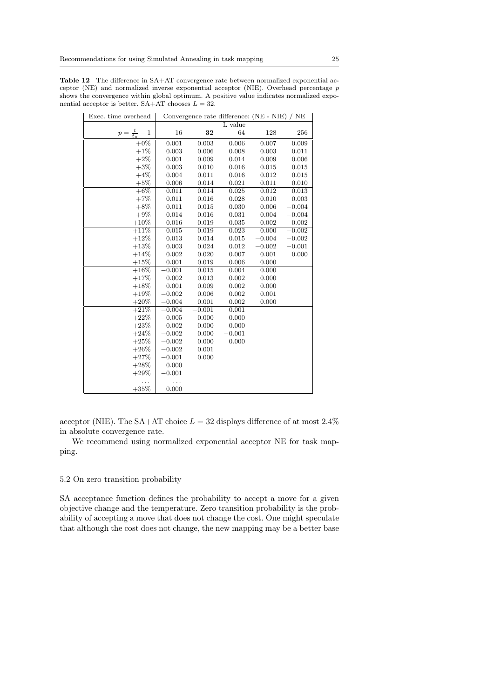| Exec. time overhead     |          |             | Convergence rate difference: (NE - NIE) |          | <b>NE</b> |
|-------------------------|----------|-------------|-----------------------------------------|----------|-----------|
|                         |          |             | L value                                 |          |           |
| $p = \frac{t}{t_o} - 1$ | 16       | 32          | 64                                      | 128      | 256       |
| $+0\%$                  | 0.001    | 0.003       | 0.006                                   | 0.007    | 0.009     |
| $+1\%$                  | 0.003    | 0.006       | 0.008                                   | 0.003    | 0.011     |
| $+2\%$                  | 0.001    | 0.009       | 0.014                                   | 0.009    | 0.006     |
| $+3%$                   | 0.003    | 0.010       | 0.016                                   | 0.015    | 0.015     |
| $+4\%$                  | 0.004    | 0.011       | 0.016                                   | 0.012    | 0.015     |
| $+5%$                   | 0.006    | 0.014       | 0.021                                   | 0.011    | 0.010     |
| $+6\%$                  | 0.011    | 0.014       | 0.025                                   | 0.012    | 0.013     |
| $+7%$                   | 0.011    | 0.016       | 0.028                                   | 0.010    | 0.003     |
| $+8\%$                  | 0.011    | 0.015       | 0.030                                   | 0.006    | $-0.004$  |
| $+9\%$                  | 0.014    | 0.016       | 0.031                                   | 0.004    | $-0.004$  |
| $+10\%$                 | 0.016    | 0.019       | 0.035                                   | 0.002    | $-0.002$  |
| $+11\%$                 | 0.015    | 0.019       | 0.023                                   | 0.000    | $-0.002$  |
| $+12%$                  | 0.013    | $\,0.014\,$ | 0.015                                   | $-0.004$ | $-0.002$  |
| $+13%$                  | 0.003    | 0.024       | 0.012                                   | $-0.002$ | $-0.001$  |
| $+14%$                  | 0.002    | 0.020       | 0.007                                   | 0.001    | 0.000     |
| $+15%$                  | 0.001    | 0.019       | 0.006                                   | 0.000    |           |
| $+16%$                  | $-0.001$ | 0.015       | 0.004                                   | 0.000    |           |
| $+17%$                  | 0.002    | 0.013       | 0.002                                   | 0.000    |           |
| $+18%$                  | 0.001    | 0.009       | 0.002                                   | 0.000    |           |
| $+19%$                  | $-0.002$ | 0.006       | 0.002                                   | 0.001    |           |
| $+20%$                  | $-0.004$ | 0.001       | 0.002                                   | 0.000    |           |
| $+21%$                  | $-0.004$ | $-0.001$    | 0.001                                   |          |           |
| $+22%$                  | $-0.005$ | 0.000       | 0.000                                   |          |           |
| $+23%$                  | $-0.002$ | 0.000       | 0.000                                   |          |           |
| $+24%$                  | $-0.002$ | 0.000       | $-0.001$                                |          |           |
| $+25%$                  | $-0.002$ | 0.000       | 0.000                                   |          |           |
| $+26\%$                 | $-0.002$ | 0.001       |                                         |          |           |
| $+27%$                  | $-0.001$ | 0.000       |                                         |          |           |
| $+28%$                  | 0.000    |             |                                         |          |           |
| $+29%$                  | $-0.001$ |             |                                         |          |           |
|                         |          |             |                                         |          |           |
| $+35%$                  | 0.000    |             |                                         |          |           |

<span id="page-24-0"></span>Table 12 The difference in SA+AT convergence rate between normalized exponential acceptor (NE) and normalized inverse exponential acceptor (NIE). Overhead percentage p shows the convergence within global optimum. A positive value indicates normalized exponential acceptor is better.  $SA+AT$  chooses  $L = 32$ .

acceptor (NIE). The SA+AT choice  $L = 32$  displays difference of at most 2.4% in absolute convergence rate.

We recommend using normalized exponential acceptor NE for task mapping.

## 5.2 On zero transition probability

SA acceptance function defines the probability to accept a move for a given objective change and the temperature. Zero transition probability is the probability of accepting a move that does not change the cost. One might speculate that although the cost does not change, the new mapping may be a better base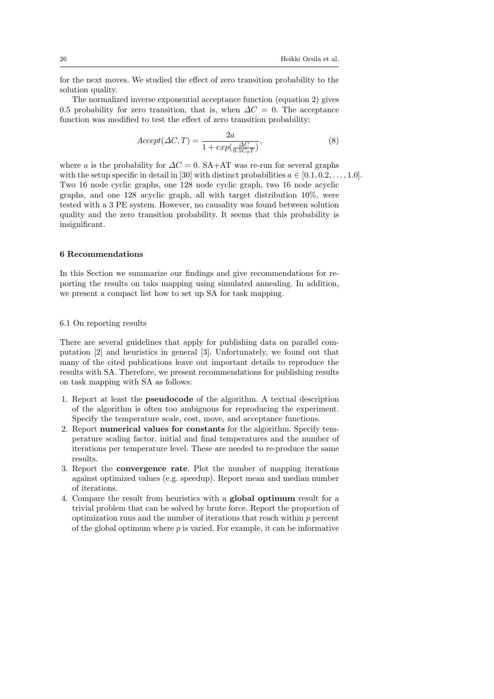for the next moves. We studied the effect of zero transition probability to the solution quality.

The normalized inverse exponential acceptance function (equation [2\)](#page-9-1) gives 0.5 probability for zero transition, that is, when  $\Delta C = 0$ . The acceptance function was modified to test the effect of zero transition probability:

$$
Accept(\Delta C, T) = \frac{2a}{1 + exp(\frac{\Delta C}{0.5C_0T})},
$$
\n(8)

where a is the probability for  $\Delta C = 0$ . SA+AT was re-run for several graphs with the setup specific in detail in [\[30\]](#page-29-1) with distinct probabilities  $a \in [0.1, 0.2, \ldots, 1.0].$ Two 16 node cyclic graphs, one 128 node cyclic graph, two 16 node acyclic graphs, and one 128 acyclic graph, all with target distribution 10%, were tested with a 3 PE system. However, no causality was found between solution quality and the zero transition probability. It seems that this probability is insignificant.

## 6 Recommendations

In this Section we summarize our findings and give recommendations for reporting the results on taks mapping using simulated annealing. In addition, we present a compact list how to set up SA for task mapping.

# <span id="page-25-0"></span>6.1 On reporting results

There are several guidelines that apply for publishing data on parallel computation [\[2\]](#page-27-3) and heuristics in general [\[3\]](#page-27-4). Unfortunately, we found out that many of the cited publications leave out important details to reproduce the results with SA. Therefore, we present recommendations for publishing results on task mapping with SA as follows:

- 1. Report at least the pseudocode of the algorithm. A textual description of the algorithm is often too ambiguous for reproducing the experiment. Specify the temperature scale, cost, move, and acceptance functions.
- 2. Report numerical values for constants for the algorithm. Specify temperature scaling factor, initial and final temperatures and the number of iterations per temperature level. These are needed to re-produce the same results.
- 3. Report the convergence rate. Plot the number of mapping iterations against optimized values (e.g. speedup). Report mean and median number of iterations.
- 4. Compare the result from heuristics with a global optimum result for a trivial problem that can be solved by brute force. Report the proportion of optimization runs and the number of iterations that reach within  $p$  percent of the global optimum where  $p$  is varied. For example, it can be informative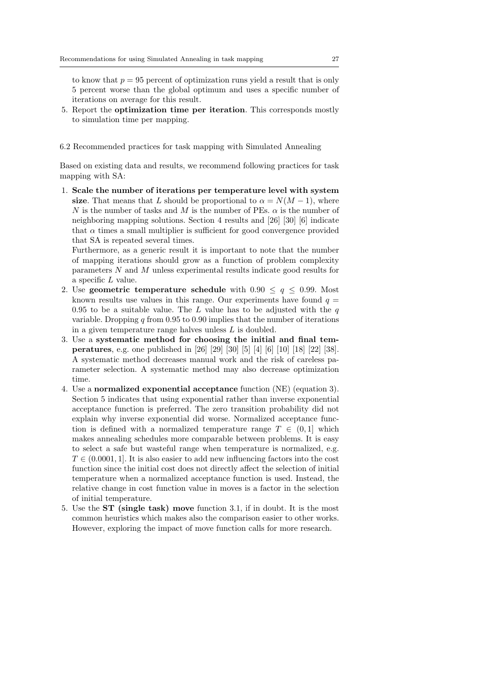to know that  $p = 95$  percent of optimization runs yield a result that is only 5 percent worse than the global optimum and uses a specific number of iterations on average for this result.

5. Report the optimization time per iteration. This corresponds mostly to simulation time per mapping.

<span id="page-26-0"></span>6.2 Recommended practices for task mapping with Simulated Annealing

Based on existing data and results, we recommend following practices for task mapping with SA:

1. Scale the number of iterations per temperature level with system size. That means that L should be proportional to  $\alpha = N(M-1)$ , where N is the number of tasks and M is the number of PEs.  $\alpha$  is the number of neighboring mapping solutions. Section [4](#page-12-0) results and [\[26\]](#page-29-8) [\[30\]](#page-29-1) [\[6\]](#page-28-3) indicate that  $\alpha$  times a small multiplier is sufficient for good convergence provided that SA is repeated several times.

Furthermore, as a generic result it is important to note that the number of mapping iterations should grow as a function of problem complexity parameters N and M unless experimental results indicate good results for a specific L value.

- 2. Use geometric temperature schedule with  $0.90 \leq q \leq 0.99$ . Most known results use values in this range. Our experiments have found  $q =$ 0.95 to be a suitable value. The L value has to be adjusted with the  $q$ variable. Dropping  $q$  from 0.95 to 0.90 implies that the number of iterations in a given temperature range halves unless L is doubled.
- 3. Use a systematic method for choosing the initial and final temperatures, e.g. one published in [\[26\]](#page-29-8) [\[29\]](#page-29-9) [\[30\]](#page-29-1) [\[5\]](#page-28-2) [\[4\]](#page-27-2) [\[6\]](#page-28-3) [\[10\]](#page-28-4) [\[18\]](#page-28-7) [\[22\]](#page-28-8) [\[38\]](#page-29-4). A systematic method decreases manual work and the risk of careless parameter selection. A systematic method may also decrease optimization time.
- 4. Use a normalized exponential acceptance function (NE) (equation [3\)](#page-9-2). Section [5](#page-23-0) indicates that using exponential rather than inverse exponential acceptance function is preferred. The zero transition probability did not explain why inverse exponential did worse. Normalized acceptance function is defined with a normalized temperature range  $T \in (0,1]$  which makes annealing schedules more comparable between problems. It is easy to select a safe but wasteful range when temperature is normalized, e.g.  $T \in (0.0001, 1]$ . It is also easier to add new influencing factors into the cost function since the initial cost does not directly affect the selection of initial temperature when a normalized acceptance function is used. Instead, the relative change in cost function value in moves is a factor in the selection of initial temperature.
- 5. Use the ST (single task) move function [3.1,](#page-8-0) if in doubt. It is the most common heuristics which makes also the comparison easier to other works. However, exploring the impact of move function calls for more research.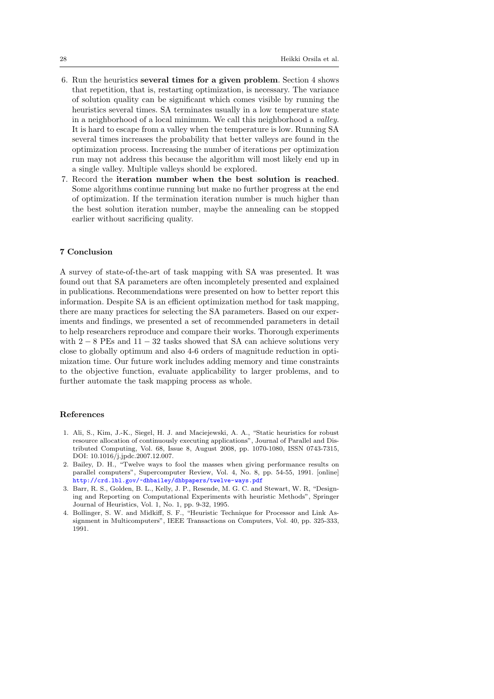- 6. Run the heuristics several times for a given problem. Section [4](#page-12-0) shows that repetition, that is, restarting optimization, is necessary. The variance of solution quality can be significant which comes visible by running the heuristics several times. SA terminates usually in a low temperature state in a neighborhood of a local minimum. We call this neighborhood a valley. It is hard to escape from a valley when the temperature is low. Running SA several times increases the probability that better valleys are found in the optimization process. Increasing the number of iterations per optimization run may not address this because the algorithm will most likely end up in a single valley. Multiple valleys should be explored.
- 7. Record the iteration number when the best solution is reached. Some algorithms continue running but make no further progress at the end of optimization. If the termination iteration number is much higher than the best solution iteration number, maybe the annealing can be stopped earlier without sacrificing quality.

## <span id="page-27-0"></span>7 Conclusion

A survey of state-of-the-art of task mapping with SA was presented. It was found out that SA parameters are often incompletely presented and explained in publications. Recommendations were presented on how to better report this information. Despite SA is an efficient optimization method for task mapping, there are many practices for selecting the SA parameters. Based on our experiments and findings, we presented a set of recommended parameters in detail to help researchers reproduce and compare their works. Thorough experiments with  $2 - 8$  PEs and  $11 - 32$  tasks showed that SA can achieve solutions very close to globally optimum and also 4-6 orders of magnitude reduction in optimization time. Our future work includes adding memory and time constraints to the objective function, evaluate applicability to larger problems, and to further automate the task mapping process as whole.

## References

- <span id="page-27-1"></span>1. Ali, S., Kim, J.-K., Siegel, H. J. and Maciejewski, A. A., "Static heuristics for robust resource allocation of continuously executing applications", Journal of Parallel and Distributed Computing, Vol. 68, Issue 8, August 2008, pp. 1070-1080, ISSN 0743-7315, DOI: 10.1016/j.jpdc.2007.12.007.
- <span id="page-27-3"></span>2. Bailey, D. H., "Twelve ways to fool the masses when giving performance results on parallel computers", Supercomputer Review, Vol. 4, No. 8, pp. 54-55, 1991. [online] <http://crd.lbl.gov/~dhbailey/dhbpapers/twelve-ways.pdf>
- <span id="page-27-4"></span>3. Barr, R. S., Golden, B. L., Kelly, J. P., Resende, M. G. C. and Stewart, W. R, "Designing and Reporting on Computational Experiments with heuristic Methods", Springer Journal of Heuristics, Vol. 1, No. 1, pp. 9-32, 1995.
- <span id="page-27-2"></span>4. Bollinger, S. W. and Midkiff, S. F., "Heuristic Technique for Processor and Link Assignment in Multicomputers", IEEE Transactions on Computers, Vol. 40, pp. 325-333, 1991.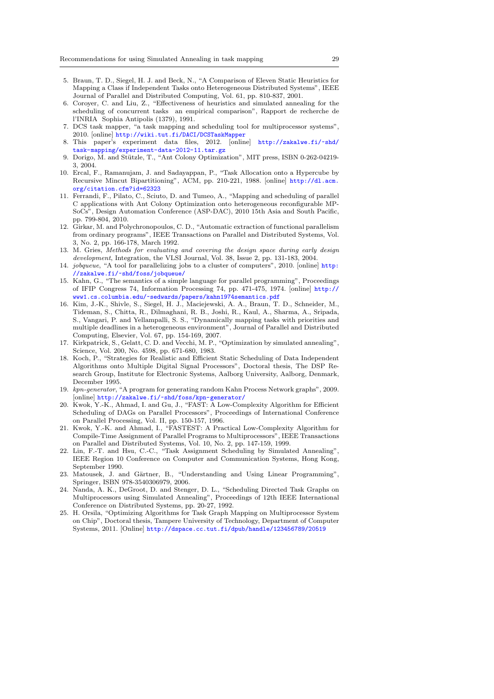- <span id="page-28-2"></span>5. Braun, T. D., Siegel, H. J. and Beck, N., "A Comparison of Eleven Static Heuristics for Mapping a Class if Independent Tasks onto Heterogeneous Distributed Systems", IEEE Journal of Parallel and Distributed Computing, Vol. 61, pp. 810-837, 2001.
- <span id="page-28-3"></span>6. Coroyer, C. and Liu, Z., "Effectiveness of heuristics and simulated annealing for the scheduling of concurrent tasks an empirical comparison", Rapport de recherche de l'INRIA Sophia Antipolis (1379), 1991.
- <span id="page-28-18"></span>7. DCS task mapper, "a task mapping and scheduling tool for multiprocessor systems", 2010. [online] <http://wiki.tut.fi/DACI/DCSTaskMapper>
- <span id="page-28-19"></span>8. This paper's experiment data files, 2012. [online] [http://zakalwe.fi/~shd/](http://zakalwe.fi/~shd/task-mapping/experiment-data-2012-11.tar.gz) [task-mapping/experiment-data-2012-11.tar.gz](http://zakalwe.fi/~shd/task-mapping/experiment-data-2012-11.tar.gz)
- <span id="page-28-11"></span>9. Dorigo, M. and Stützle, T., "Ant Colony Optimization", MIT press, ISBN 0-262-04219-3, 2004.
- <span id="page-28-4"></span>10. Ercal, F., Ramanujam, J. and Sadayappan, P., "Task Allocation onto a Hypercube by Recursive Mincut Bipartitioning", ACM, pp. 210-221, 1988. [online] [http://dl.acm.](http://dl.acm.org/citation.cfm?id=62323) [org/citation.cfm?id=62323](http://dl.acm.org/citation.cfm?id=62323)
- <span id="page-28-5"></span>11. Ferrandi, F., Pilato, C., Sciuto, D. and Tumeo, A., "Mapping and scheduling of parallel C applications with Ant Colony Optimization onto heterogeneous reconfigurable MP-SoCs", Design Automation Conference (ASP-DAC), 2010 15th Asia and South Pacific, pp. 799-804, 2010.
- <span id="page-28-10"></span>12. Girkar, M. and Polychronopoulos, C. D., "Automatic extraction of functional parallelism from ordinary programs", IEEE Transactions on Parallel and Distributed Systems, Vol. 3, No. 2, pp. 166-178, March 1992.
- <span id="page-28-0"></span>13. M. Gries, Methods for evaluating and covering the design space during early design development, Integration, the VLSI Journal, Vol. 38, Issue 2, pp. 131-183, 2004.
- <span id="page-28-20"></span>14. jobqueue, "A tool for parallelizing jobs to a cluster of computers", 2010. [online] [http:](http://zakalwe.fi/~shd/foss/jobqueue/) [//zakalwe.fi/~shd/foss/jobqueue/](http://zakalwe.fi/~shd/foss/jobqueue/)
- <span id="page-28-1"></span>15. Kahn, G., "The semantics of a simple language for parallel programming", Proceedings of IFIP Congress 74, Information Processing 74, pp. 471-475, 1974. [online] [http://](http://www1.cs.columbia.edu/~sedwards/papers/kahn1974semantics.pdf) [www1.cs.columbia.edu/~sedwards/papers/kahn1974semantics.pdf](http://www1.cs.columbia.edu/~sedwards/papers/kahn1974semantics.pdf)
- <span id="page-28-6"></span>16. Kim, J.-K., Shivle, S., Siegel, H. J., Maciejewski, A. A., Braun, T. D., Schneider, M., Tideman, S., Chitta, R., Dilmaghani, R. B., Joshi, R., Kaul, A., Sharma, A., Sripada, S., Vangari, P. and Yellampalli, S. S., "Dynamically mapping tasks with priorities and multiple deadlines in a heterogeneous environment", Journal of Parallel and Distributed Computing, Elsevier, Vol. 67, pp. 154-169, 2007.
- <span id="page-28-16"></span>17. Kirkpatrick, S., Gelatt, C. D. and Vecchi, M. P., "Optimization by simulated annealing", Science, Vol. 200, No. 4598, pp. 671-680, 1983.
- <span id="page-28-7"></span>18. Koch, P., "Strategies for Realistic and Efficient Static Scheduling of Data Independent Algorithms onto Multiple Digital Signal Processors", Doctoral thesis, The DSP Research Group, Institute for Electronic Systems, Aalborg University, Aalborg, Denmark, December 1995.
- <span id="page-28-17"></span>19. kpn-generator, "A program for generating random Kahn Process Network graphs", 2009. [online] <http://zakalwe.fi/~shd/foss/kpn-generator/>
- <span id="page-28-12"></span>20. Kwok, Y.-K., Ahmad, I. and Gu, J., "FAST: A Low-Complexity Algorithm for Efficient Scheduling of DAGs on Parallel Processors", Proceedings of International Conference on Parallel Processing, Vol. II, pp. 150-157, 1996.
- <span id="page-28-13"></span>21. Kwok, Y.-K. and Ahmad, I., "FASTEST: A Practical Low-Complexity Algorithm for Compile-Time Assignment of Parallel Programs to Multiprocessors", IEEE Transactions on Parallel and Distributed Systems, Vol. 10, No. 2, pp. 147-159, 1999.
- <span id="page-28-8"></span>22. Lin, F.-T. and Hsu, C.-C., "Task Assignment Scheduling by Simulated Annealing", IEEE Region 10 Conference on Computer and Communication Systems, Hong Kong, September 1990.
- <span id="page-28-14"></span>23. Matousek, J. and Gärtner, B., "Understanding and Using Linear Programming", Springer, ISBN 978-3540306979, 2006.
- <span id="page-28-9"></span>24. Nanda, A. K., DeGroot, D. and Stenger, D. L., "Scheduling Directed Task Graphs on Multiprocessors using Simulated Annealing", Proceedings of 12th IEEE International Conference on Distributed Systems, pp. 20-27, 1992.
- <span id="page-28-15"></span>25. H. Orsila, "Optimizing Algorithms for Task Graph Mapping on Multiprocessor System on Chip", Doctoral thesis, Tampere University of Technology, Department of Computer Systems, 2011. [Online] <http://dspace.cc.tut.fi/dpub/handle/123456789/20519>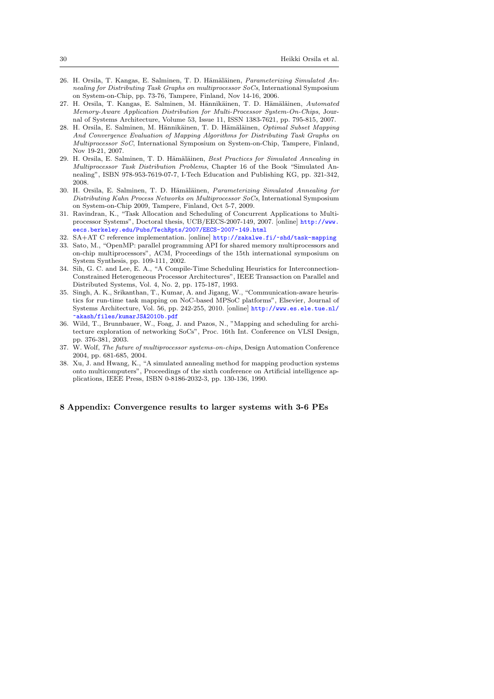- <span id="page-29-8"></span>26. H. Orsila, T. Kangas, E. Salminen, T. D. Hämäläinen, Parameterizing Simulated Annealing for Distributing Task Graphs on multiprocessor SoCs, International Symposium on System-on-Chip, pp. 73-76, Tampere, Finland, Nov 14-16, 2006.
- <span id="page-29-7"></span>27. H. Orsila, T. Kangas, E. Salminen, M. Hännikäinen, T. D. Hämäläinen, Automated Memory-Aware Application Distribution for Multi-Processor System-On-Chips, Journal of Systems Architecture, Volume 53, Issue 11, ISSN 1383-7621, pp. 795-815, 2007.
- <span id="page-29-11"></span>28. H. Orsila, E. Salminen, M. Hännikäinen, T. D. Hämäläinen, Optimal Subset Mapping And Convergence Evaluation of Mapping Algorithms for Distributing Task Graphs on Multiprocessor SoC, International Symposium on System-on-Chip, Tampere, Finland, Nov 19-21, 2007.
- <span id="page-29-9"></span>29. H. Orsila, E. Salminen, T. D. Hämäläinen, Best Practices for Simulated Annealing in Multiprocessor Task Distribution Problems, Chapter 16 of the Book "Simulated Annealing", ISBN 978-953-7619-07-7, I-Tech Education and Publishing KG, pp. 321-342, 2008.
- <span id="page-29-1"></span>30. H. Orsila, E. Salminen, T. D. Hämäläinen, Parameterizing Simulated Annealing for Distributing Kahn Process Networks on Multiprocessor SoCs, International Symposium on System-on-Chip 2009, Tampere, Finland, Oct 5-7, 2009.
- <span id="page-29-2"></span>31. Ravindran, K., "Task Allocation and Scheduling of Concurrent Applications to Multiprocessor Systems", Doctoral thesis, UCB/EECS-2007-149, 2007. [online] [http://www.](http://www.eecs.berkeley.edu/Pubs/TechRpts/2007/EECS-2007-149.html) [eecs.berkeley.edu/Pubs/TechRpts/2007/EECS-2007-149.html](http://www.eecs.berkeley.edu/Pubs/TechRpts/2007/EECS-2007-149.html)
- <span id="page-29-10"></span>32. SA+AT C reference implementation. [online] <http://zakalwe.fi/~shd/task-mapping>
- <span id="page-29-5"></span>33. Sato, M., "OpenMP: parallel programming API for shared memory multiprocessors and on-chip multiprocessors", ACM, Proceedings of the 15th international symposium on System Synthesis, pp. 109-111, 2002.
- <span id="page-29-6"></span>34. Sih, G. C. and Lee, E. A., "A Compile-Time Scheduling Heuristics for Interconnection-Constrained Heterogeneous Processor Architectures", IEEE Transaction on Parallel and Distributed Systems, Vol. 4, No. 2, pp. 175-187, 1993.
- 35. Singh, A. K., Srikanthan, T., Kumar, A. and Jigang, W., "Communication-aware heuristics for run-time task mapping on NoC-based MPSoC platforms", Elsevier, Journal of Systems Architecture, Vol. 56, pp. 242-255, 2010. [online] [http://www.es.ele.tue.nl/](http://www.es.ele.tue.nl/~akash/files/kumarJSA2010b.pdf) [~akash/files/kumarJSA2010b.pdf](http://www.es.ele.tue.nl/~akash/files/kumarJSA2010b.pdf)
- <span id="page-29-3"></span>36. Wild, T., Brunnbauer, W., Foag, J. and Pazos, N., "Mapping and scheduling for architecture exploration of networking SoCs", Proc. 16th Int. Conference on VLSI Design, pp. 376-381, 2003.
- <span id="page-29-0"></span>37. W. Wolf, The future of multiprocessor systems-on-chips, Design Automation Conference 2004, pp. 681-685, 2004.
- <span id="page-29-4"></span>38. Xu, J. and Hwang, K., "A simulated annealing method for mapping production systems onto multicomputers", Proceedings of the sixth conference on Artificial intelligence applications, IEEE Press, ISBN 0-8186-2032-3, pp. 130-136, 1990.

#### 8 Appendix: Convergence results to larger systems with 3-6 PEs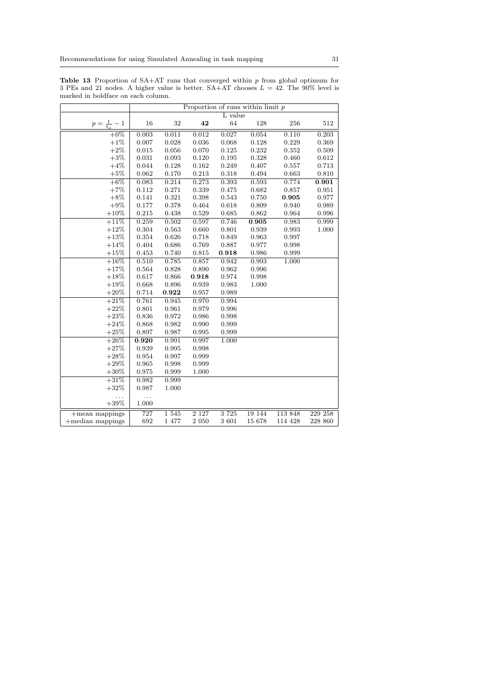| marked in boldface on each column. |            |       |         |         | Proportion of runs within limit $p$ |         |         |
|------------------------------------|------------|-------|---------|---------|-------------------------------------|---------|---------|
|                                    |            |       |         | L value |                                     |         |         |
| $p = \frac{t}{t_o} - 1$            | 16         | 32    | 42      | 64      | 128                                 | 256     | 512     |
| $\frac{1}{+0\%}$                   | 0.003      | 0.011 | 0.012   | 0.027   | 0.054                               | 0.110   | 0.203   |
| $+1\%$                             | 0.007      | 0.028 | 0.036   | 0.068   | 0.128                               | 0.229   | 0.369   |
| $+2\%$                             | 0.015      | 0.056 | 0.070   | 0.125   | 0.232                               | 0.352   | 0.509   |
| $+3%$                              | 0.031      | 0.093 | 0.120   | 0.195   | 0.328                               | 0.460   | 0.612   |
| $+4%$                              | 0.044      | 0.128 | 0.162   | 0.249   | 0.407                               | 0.557   | 0.713   |
| $+5%$                              | 0.062      | 0.170 | 0.213   | 0.318   | 0.494                               | 0.663   | 0.810   |
| $+6\%$                             | 0.083      | 0.214 | 0.273   | 0.393   | 0.593                               | 0.774   | 0.901   |
| $+7%$                              | 0.112      | 0.271 | 0.339   | 0.475   | 0.682                               | 0.857   | 0.951   |
| $+8%$                              | 0.141      | 0.321 | 0.398   | 0.543   | 0.750                               | 0.905   | 0.977   |
| $+9%$                              | 0.177      | 0.378 | 0.464   | 0.618   | 0.809                               | 0.940   | 0.989   |
| $+10%$                             | 0.215      | 0.438 | 0.529   | 0.685   | 0.862                               | 0.964   | 0.996   |
| $+11%$                             | 0.259      | 0.502 | 0.597   | 0.746   | 0.905                               | 0.983   | 0.999   |
| $+12%$                             | 0.304      | 0.563 | 0.660   | 0.801   | 0.939                               | 0.993   | 1.000   |
| $+13%$                             | 0.354      | 0.626 | 0.718   | 0.849   | 0.963                               | 0.997   |         |
| $+14%$                             | 0.404      | 0.686 | 0.769   | 0.887   | 0.977                               | 0.998   |         |
| $+15%$                             | 0.453      | 0.740 | 0.815   | 0.918   | 0.986                               | 0.999   |         |
| $+16%$                             | 0.510      | 0.785 | 0.857   | 0.942   | 0.993                               | 1.000   |         |
| $+17%$                             | 0.564      | 0.828 | 0.890   | 0.962   | 0.996                               |         |         |
| $+18%$                             | 0.617      | 0.866 | 0.918   | 0.974   | 0.998                               |         |         |
| $+19%$                             | 0.668      | 0.896 | 0.939   | 0.983   | 1.000                               |         |         |
| $+20\%$                            | 0.714      | 0.922 | 0.957   | 0.989   |                                     |         |         |
| $+21%$                             | 0.761      | 0.945 | 0.970   | 0.994   |                                     |         |         |
| $+22%$                             | 0.801      | 0.961 | 0.979   | 0.996   |                                     |         |         |
| $+23%$                             | 0.836      | 0.972 | 0.986   | 0.998   |                                     |         |         |
| $+24%$                             | 0.868      | 0.982 | 0.990   | 0.999   |                                     |         |         |
| $+25%$                             | 0.897      | 0.987 | 0.995   | 0.999   |                                     |         |         |
| $+26%$                             | 0.920      | 0.991 | 0.997   | 1.000   |                                     |         |         |
| $+27%$                             | 0.939      | 0.995 | 0.998   |         |                                     |         |         |
| $+28\%$                            | 0.954      | 0.997 | 0.999   |         |                                     |         |         |
| $+29%$                             | 0.965      | 0.998 | 0.999   |         |                                     |         |         |
| $+30\%$                            | 0.975      | 0.999 | 1.000   |         |                                     |         |         |
| $+31%$                             | 0.982      | 0.999 |         |         |                                     |         |         |
| $+32%$                             | 0.987      | 1.000 |         |         |                                     |         |         |
| .<br>$+39\%$                       | .<br>1.000 |       |         |         |                                     |         |         |
| $+$ mean mappings                  | 727        | 1545  | 2 1 2 7 | 3 7 2 5 | 19 144                              | 113 848 | 229 258 |
| $+$ median mappings                | 692        | 1 477 | 2 0 5 0 | 3 601   | 15 678                              | 114 428 | 228 860 |

<span id="page-30-0"></span>**Table 13** Proportion of  $SA+AT$  runs that converged within  $p$  from global optimum for 3 PEs and 21 nodes. A higher value is better.  $SA+AT$  chooses  $L = 42$ . The 90% level is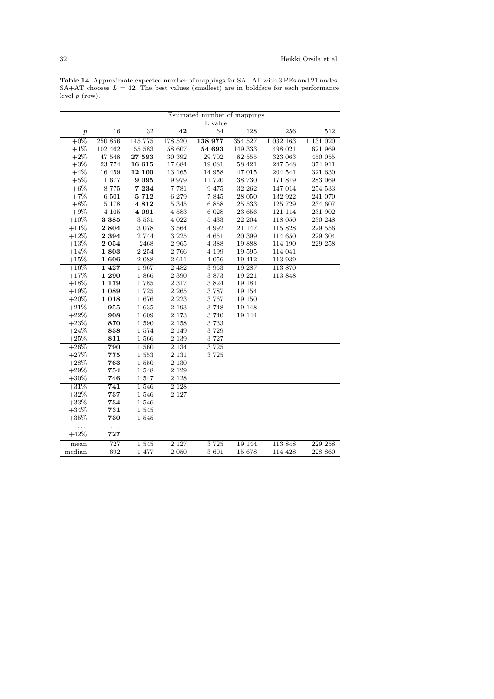|                  | Estimated number of mappings |         |          |         |         |               |               |  |  |
|------------------|------------------------------|---------|----------|---------|---------|---------------|---------------|--|--|
|                  |                              |         |          | L value |         |               |               |  |  |
| $\boldsymbol{p}$ | 16                           | 32      | 42       | 64      | 128     | 256           | 512           |  |  |
| $+0\%$           | 250 856                      | 145 775 | 178 520  | 138 977 | 354 527 | 1 0 3 2 1 6 3 | 1 1 3 1 0 2 0 |  |  |
| $+1\%$           | 102 462                      | 55 583  | 58 607   | 54 693  | 149 333 | 498 021       | 621 969       |  |  |
| $+2\%$           | 47 548                       | 27 593  | 30 392   | 29 702  | 82 555  | 323 063       | 450 055       |  |  |
| $+3%$            | 23 774                       | 16 615  | 17684    | 19 081  | 58 421  | 247 548       | 374 911       |  |  |
| $+4%$            | 16 459                       | 12 100  | 13 165   | 14 958  | 47 015  | 204 541       | 321 630       |  |  |
| $+5%$            | 11 677                       | 9095    | 9 9 7 9  | 11 720  | 38 730  | 171 819       | 283 069       |  |  |
| $+6\%$           | 8 7 7 5                      | 7 2 3 4 | 7 7 8 1  | 9 4 7 5 | 32 262  | 147 014       | 254 533       |  |  |
| $+7%$            | 6 501                        | 5 7 1 2 | 6 279    | 7845    | 28 050  | 132 922       | 241 070       |  |  |
| $+8\%$           | 5 1 7 8                      | 4812    | 5 3 4 5  | 6 858   | 25 533  | 125 729       | 234 607       |  |  |
| $+9\%$           | 4 1 0 5                      | 4 0 9 1 | 4 5 8 3  | 6 0 28  | 23 656  | 121 114       | 231 902       |  |  |
| $+10%$           | 3 3 8 5                      | 3 5 3 1 | 4 0 2 2  | 5 4 3 3 | 22 204  | 118 050       | 230 248       |  |  |
| $+11%$           | 2 8 0 4                      | 3 0 78  | 3 5 6 4  | 4 9 9 2 | 21 147  | 115 828       | 229 556       |  |  |
| $+12%$           | 2 3 9 4                      | 2 744   | 3 2 2 5  | 4 651   | 20 399  | 114 650       | 229 304       |  |  |
| $+13%$           | 2054                         | 2468    | 2 9 6 5  | 4 3 8 8 | 19888   | 114 190       | 229 258       |  |  |
| $+14%$           | 1803                         | 2 2 5 4 | 2 766    | 4 1 9 9 | 19 595  | 114 041       |               |  |  |
| $+15%$           | 1606                         | 2 0 8 8 | 2 6 1 1  | 4 0 5 6 | 19 412  | 113 939       |               |  |  |
| $+16%$           | 1 4 2 7                      | 1 967   | 2 4 8 2  | 3 9 5 3 | 19 287  | 113 870       |               |  |  |
| $+17%$           | 1 290                        | 1 866   | 2 3 9 0  | 3873    | 19 221  | 113 848       |               |  |  |
| $+18%$           | 1 179                        | 1785    | 2 3 1 7  | 3 8 2 4 | 19 18 1 |               |               |  |  |
| $+19%$           | 1 0 8 9                      | 1725    | 2 2 6 5  | 3 7 8 7 | 19 154  |               |               |  |  |
| $+20%$           | 1 0 18                       | 1676    | 2 2 2 3  | 3 767   | 19 150  |               |               |  |  |
| $+21%$           | 955                          | 1635    | $2\;193$ | 3748    | 19 148  |               |               |  |  |
| $+22%$           | 908                          | 1 609   | 2 1 7 3  | 3 7 4 0 | 19 144  |               |               |  |  |
| $+23%$           | 870                          | 1 590   | 2 1 5 8  | 3 7 3 3 |         |               |               |  |  |
| $+24%$           | 838                          | 1574    | 2 1 4 9  | 3 7 2 9 |         |               |               |  |  |
| $+25%$           | 811                          | 1 566   | 2 1 3 9  | 3 7 2 7 |         |               |               |  |  |
| $+26%$           | 790                          | 1 560   | 2 1 3 4  | 3 7 2 5 |         |               |               |  |  |
| $+27%$           | 775                          | 1 553   | 2 1 3 1  | 3 7 2 5 |         |               |               |  |  |
| $+28%$           | 763                          | 1 550   | 2 1 3 0  |         |         |               |               |  |  |
| $+29%$           | 754                          | 1 5 4 8 | 2 1 2 9  |         |         |               |               |  |  |
| $+30\%$          | 746                          | 1 5 4 7 | 2 1 2 8  |         |         |               |               |  |  |
| $+31%$           | $\overline{741}$             | 1 546   | 2 1 2 8  |         |         |               |               |  |  |
| $+32%$           | 737                          | 1 546   | 2 1 2 7  |         |         |               |               |  |  |
| $+33%$           | 734                          | 1 546   |          |         |         |               |               |  |  |
| $+34%$           | 731                          | 1 5 4 5 |          |         |         |               |               |  |  |
| $+35%$           | 730                          | 1 5 4 5 |          |         |         |               |               |  |  |
| .                | $\cdots$                     |         |          |         |         |               |               |  |  |
| $+42%$           | 727                          |         |          |         |         |               |               |  |  |
| mean             | $\overline{727}$             | 1 545   | 2 1 2 7  | 3 7 2 5 | 19 144  | 113 848       | 229 258       |  |  |
| median           | 692                          | 1 477   | $2\ 050$ | 3 601   | 15 678  | 114 428       | $228\ 860$    |  |  |

Table 14 Approximate expected number of mappings for SA+AT with 3 PEs and 21 nodes.  $SA+AT$  chooses  $L = 42$ . The best values (smallest) are in boldface for each performance level  $p$  (row).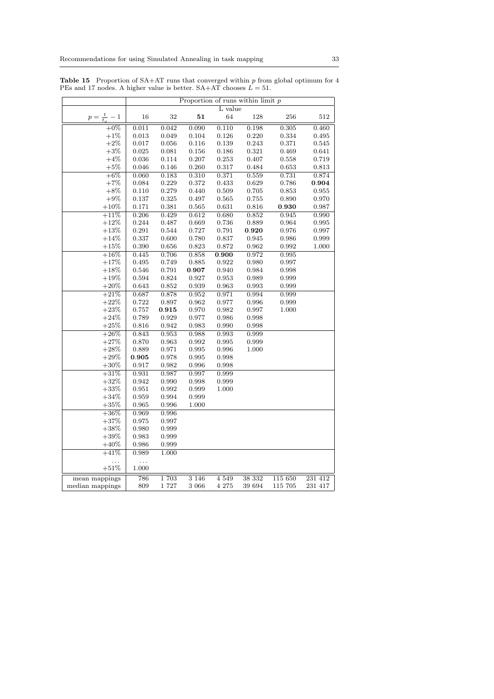|                     | Proportion of runs within limit $p$ |                |         |             |        |         |         |  |
|---------------------|-------------------------------------|----------------|---------|-------------|--------|---------|---------|--|
|                     |                                     |                |         | L value     |        |         |         |  |
| $p=\frac{t}{t_o}-1$ | 16                                  | 32             | $51\,$  | 64          | 128    | 256     | 512     |  |
| $+0\%$              | 0.011                               | 0.042          | 0.090   | 0.110       | 0.198  | 0.305   | 0.460   |  |
| $+1\%$              | 0.013                               | 0.049          | 0.104   | 0.126       | 0.220  | 0.334   | 0.495   |  |
| $+2\%$              | 0.017                               | 0.056          | 0.116   | 0.139       | 0.243  | 0.371   | 0.545   |  |
| $+3%$               | 0.025                               | 0.081          | 0.156   | 0.186       | 0.321  | 0.469   | 0.641   |  |
| $+4\%$              | 0.036                               | 0.114          | 0.207   | $\,0.253\,$ | 0.407  | 0.558   | 0.719   |  |
| $+5%$               | 0.046                               | 0.146          | 0.260   | 0.317       | 0.484  | 0.653   | 0.813   |  |
| $+6\%$              | 0.060                               | 0.183          | 0.310   | 0.371       | 0.559  | 0.731   | 0.874   |  |
| $+7%$               | 0.084                               | 0.229          | 0.372   | 0.433       | 0.629  | 0.786   | 0.904   |  |
| $+8%$               | 0.110                               | 0.279          | 0.440   | 0.509       | 0.705  | 0.853   | 0.955   |  |
| $+9\%$              | 0.137                               | 0.325          | 0.497   | 0.565       | 0.755  | 0.890   | 0.970   |  |
| $+10%$              | 0.171                               | 0.381          | 0.565   | 0.631       | 0.816  | 0.930   | 0.987   |  |
| $+11%$              | 0.206                               | 0.429          | 0.612   | 0.680       | 0.852  | 0.945   | 0.990   |  |
| $+12%$              | 0.244                               | 0.487          | 0.669   | 0.736       | 0.889  | 0.964   | 0.995   |  |
| $+13%$              | 0.291                               | 0.544          | 0.727   | 0.791       | 0.920  | 0.976   | 0.997   |  |
| $+14%$              | 0.337                               | 0.600          | 0.780   | 0.837       | 0.945  | 0.986   | 0.999   |  |
| $+15%$              | 0.390                               | 0.656          | 0.823   | 0.872       | 0.962  | 0.992   | 1.000   |  |
| $+16%$              | 0.445                               | 0.706          | 0.858   | 0.900       | 0.972  | 0.995   |         |  |
| $+17\%$             | 0.495                               | 0.749          | 0.885   | 0.922       | 0.980  | 0.997   |         |  |
| $+18%$              | 0.546                               | 0.791          | 0.907   | 0.940       | 0.984  | 0.998   |         |  |
| $+19\%$             | 0.594                               | 0.824          | 0.927   | 0.953       | 0.989  | 0.999   |         |  |
| $+20\%$             | 0.643                               | 0.852          | 0.939   | 0.963       | 0.993  | 0.999   |         |  |
| $+21%$              | 0.687                               | 0.878          | 0.952   | 0.971       | 0.994  | 0.999   |         |  |
| $+22%$              | 0.722                               | 0.897          | 0.962   | 0.977       | 0.996  | 0.999   |         |  |
| $+23%$              | 0.757                               | 0.915          | 0.970   | 0.982       | 0.997  | 1.000   |         |  |
| $+24%$              | 0.789                               | 0.929          | 0.977   | 0.986       | 0.998  |         |         |  |
| $+25\%$             | 0.816                               | 0.942          | 0.983   | 0.990       | 0.998  |         |         |  |
| $+26%$              | 0.843                               | 0.953          | 0.988   | 0.993       | 0.999  |         |         |  |
| $+27%$              | 0.870                               | 0.963          | 0.992   | 0.995       | 0.999  |         |         |  |
| $+28%$              | 0.889                               | 0.971          | 0.995   | 0.996       | 1.000  |         |         |  |
| $+29%$              | 0.905                               | 0.978          | 0.995   | 0.998       |        |         |         |  |
| $+30%$              | 0.917                               | 0.982          | 0.996   | 0.998       |        |         |         |  |
| $+31%$              | 0.931                               | 0.987          | 0.997   | 0.999       |        |         |         |  |
| $+32%$              | 0.942                               | 0.990          | 0.998   | 0.999       |        |         |         |  |
| $+33\%$             | 0.951                               | 0.992          | 0.999   | 1.000       |        |         |         |  |
| $+34%$<br>$+35\%$   | 0.959                               | 0.994          | 0.999   |             |        |         |         |  |
|                     | 0.965                               | 0.996          | 1.000   |             |        |         |         |  |
| $+36\%$             | 0.969                               | 0.996          |         |             |        |         |         |  |
| $+37\%$             | 0.975<br>0.980                      | 0.997<br>0.999 |         |             |        |         |         |  |
| $+38%$<br>$+39\%$   | 0.983                               | 0.999          |         |             |        |         |         |  |
| $+40\%$             | 0.986                               | 0.999          |         |             |        |         |         |  |
| $+41%$              | 0.989                               | 1.000          |         |             |        |         |         |  |
|                     |                                     |                |         |             |        |         |         |  |
| .<br>$+51\%$        | .<br>1.000                          |                |         |             |        |         |         |  |
| mean mappings       | 786                                 | 1703           | 3 1 4 6 | 4 5 4 9     | 38 332 | 115 650 | 231 412 |  |
| median mappings     | 809                                 | 1 727          | 3 0 6 6 | 4 275       | 39 694 | 115 705 | 231 417 |  |
|                     |                                     |                |         |             |        |         |         |  |

**Table 15** Proportion of  $SA+AT$  runs that converged within p from global optimum for 4 PEs and 17 nodes. A higher value is better.  $SA+AT$  chooses  $L = 51$ .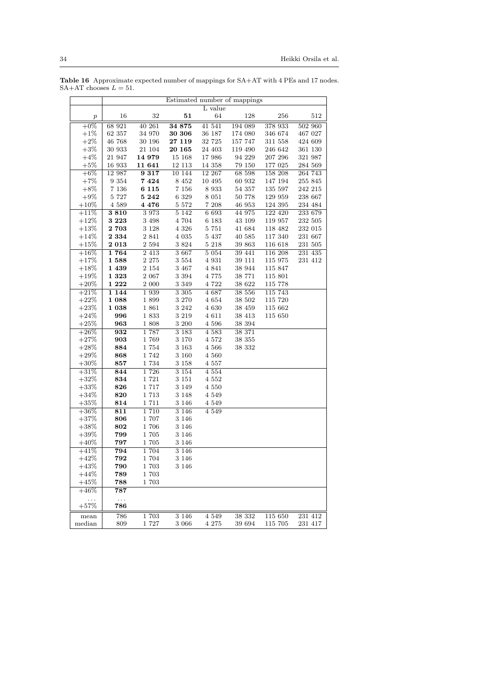|                   | Estimated number of mappings |                    |                    |                    |                  |                    |                    |  |  |
|-------------------|------------------------------|--------------------|--------------------|--------------------|------------------|--------------------|--------------------|--|--|
|                   |                              |                    |                    | L value            |                  |                    |                    |  |  |
| $\boldsymbol{p}$  | 16                           | 32                 | 51                 | 64                 | 128              | 256                | 512                |  |  |
| $+0\%$            | 68 921                       | 40 261             | 34 875             | 41 541             | 194 089          | 378 933            | 502 960            |  |  |
| $+1\%$            | 62 357                       | 34 970             | 30 306             | 36 187             | 174 080          | 346 674            | 467 027            |  |  |
| $+2\%$            | 46 768                       | 30 196             | 27 119             | 32 725             | 157 747          | 311 558            | 424 609            |  |  |
| $+3%$             | 30 933                       | 21 104             | 20 165             | 24 403             | 119 490          | 246 642            | 361 130            |  |  |
| $+4%$             | 21 947                       | 14 979             | 15 168             | 17 986             | 94 229           | 207 296            | 321 987            |  |  |
| $+5\%$            | 16 933                       | 11 641             | 12 113             | 14 358             | 79 150           | 177 025            | 284 569            |  |  |
| $+6\%$            | 12 987                       | 9317               | 10 144             | 12 267             | 68 598           | 158 208            | 264 743            |  |  |
| $+7%$             | 9 354                        | 7424               | 8 4 5 2            | 10 495             | 60 932           | 147 194            | 255 845            |  |  |
| $+8\%$            | 7 1 3 6                      | 6 1 1 5            | 7 1 5 6            | 8 9 3 3            | 54 357           | 135 597            | 242 215            |  |  |
| $+9\%$            | 5 727                        | $\sqrt{5}$ 242     | 6 3 2 9            | 8 0 5 1            | 50 778           | 129 959            | 238 667            |  |  |
| $+10\%$           | 4 589                        | 4 4 7 6            | $5\ 572$           | 7 208              | 46 953           | 124 395            | 234 484            |  |  |
| $+11%$            | 3810                         | 3973               | 5 1 4 2            | 6 6 9 3            | 44 975           | 122 420            | 233 679            |  |  |
| $+12%$            | 3 2 2 3<br>2 703             | 3 4 9 8<br>3 1 2 8 | 4 704              | 6 1 8 3<br>5 751   | 43 109           | 119 957            | 232 505<br>232 015 |  |  |
| $+13\%$           |                              |                    | 4 3 2 6            |                    | 41 684           | 118 482            |                    |  |  |
| $+14%$<br>$+15\%$ | 2 3 3 4<br>2 0 1 3           | 2 8 4 1<br>2 5 9 4 | 4 0 3 5<br>3824    | 5 4 3 7<br>5 2 1 8 | 40 585<br>39 863 | 117 340<br>116 618 | 231 667<br>231 505 |  |  |
| $+16%$            | 1764                         | 2 4 1 3            | 3 667              | 5 0 5 4            | 39 441           | 116 208            | 231 435            |  |  |
| $+17%$            | 1588                         | 2 2 7 5            | 3 5 5 4            | 4 9 3 1            | 39 111           | 115 975            | 231 412            |  |  |
| $+18%$            | 1 439                        | 2 1 5 4            | 3 467              | 4 8 4 1            | 38 944           | 115 847            |                    |  |  |
| $+19%$            | 1 3 2 3                      | 2 0 6 7            | 3 3 9 4            | 4 775              | 38 771           | 115 801            |                    |  |  |
| $+20%$            | 1 2 2 2                      | 2 000              | 3 3 4 9            | 4 722              | 38 622           | 115 778            |                    |  |  |
| $+21%$            | 1 1 4 4                      | 1939               | 3 3 0 5            | 4 6 8 7            | 38 556           | 115 743            |                    |  |  |
| $+22\%$           | 1 088                        | 1899               | 3 270              | 4 654              | 38 502           | 115 720            |                    |  |  |
| $+23%$            | 1 038                        | 1861               | 3 2 4 2            | 4 630              | 38 459           | 115 662            |                    |  |  |
| $+24%$            | 996                          | 1833               | 3 2 1 9            | 4 611              | 38 413           | 115 650            |                    |  |  |
| $+25%$            | 963                          | 1808               | 3 200              | 4 5 9 6            | 38 394           |                    |                    |  |  |
| $+26\%$           | $\overline{932}$             | 1787               | 3 1 8 3            | 4 5 8 3            | 38 371           |                    |                    |  |  |
| $+27%$            | 903                          | 1769               | 3 1 7 0            | 4 5 7 2            | 38 355           |                    |                    |  |  |
| $+28%$            | 884                          | 1754               | 3 1 6 3            | 4 5 6 6            | 38 332           |                    |                    |  |  |
| $+29%$            | 868                          | 1742               | 3 160              | 4 560              |                  |                    |                    |  |  |
| $+30\%$           | 857                          | 1734               | 3 1 5 8            | 4 5 5 7            |                  |                    |                    |  |  |
| $+31%$            | 844                          | 1726               | 3 1 5 4            | 4 5 5 4            |                  |                    |                    |  |  |
| $+32%$            | 834                          | 1721               | 3 1 5 1            | 4 5 5 2            |                  |                    |                    |  |  |
| $+33%$            | 826                          | 1717               | 3 1 4 9            | 4 550              |                  |                    |                    |  |  |
| $+34%$            | 820                          | 1713               | 3 1 4 8            | 4 5 4 9            |                  |                    |                    |  |  |
| $+35%$            | 814                          | 1711<br>1 7 1 0    | 3 1 4 6            | 4 5 4 9<br>4 5 4 9 |                  |                    |                    |  |  |
| $+36\%$<br>$+37%$ | 811<br>806                   | 1 707              | 3 1 4 6<br>3 1 4 6 |                    |                  |                    |                    |  |  |
| $+38%$            | 802                          | 1706               | 3 1 4 6            |                    |                  |                    |                    |  |  |
| $+39%$            | 799                          | 1705               | 3 1 4 6            |                    |                  |                    |                    |  |  |
| $+40%$            | 797                          | 1705               | 3 1 4 6            |                    |                  |                    |                    |  |  |
| $+41%$            | 794                          | 1704               | 3 1 4 6            |                    |                  |                    |                    |  |  |
| $+42%$            | 792                          | 1704               | 3 1 4 6            |                    |                  |                    |                    |  |  |
| $+43%$            | 790                          | 1703               | 3 1 4 6            |                    |                  |                    |                    |  |  |
| $+44%$            | 789                          | 1703               |                    |                    |                  |                    |                    |  |  |
| $+45\%$           | 788                          | 1703               |                    |                    |                  |                    |                    |  |  |
| $+46%$            | 787                          |                    |                    |                    |                  |                    |                    |  |  |
| .                 | $\ddotsc$                    |                    |                    |                    |                  |                    |                    |  |  |
| $+57%$            | 786                          |                    |                    |                    |                  |                    |                    |  |  |
| mean              | 786                          | 1703               | $3\overline{1}46$  | 4 5 4 9            | 38 332           | 115 650            | 231 412            |  |  |
| median            | 809                          | 1727               | 3 066              | 4 275              | 39 694           | 115 705            | 231 417            |  |  |

Table 16 Approximate expected number of mappings for SA+AT with 4 PEs and 17 nodes.  $SA+AT$  chooses  $L = 51$ .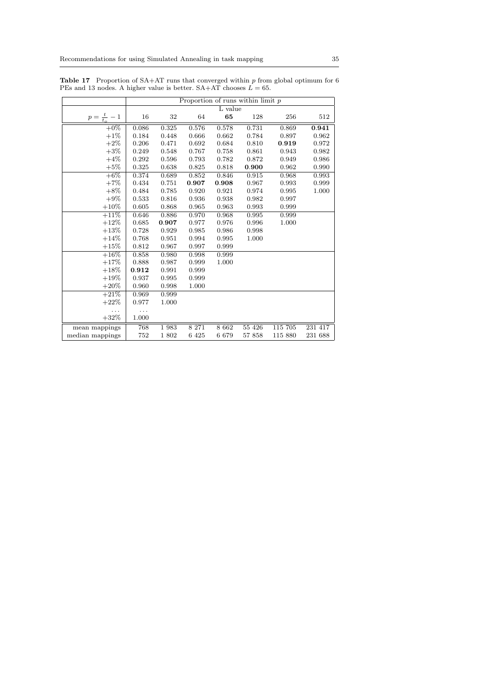|                     | Proportion of runs within limit $\bar{p}$ |       |        |         |         |         |         |  |
|---------------------|-------------------------------------------|-------|--------|---------|---------|---------|---------|--|
|                     |                                           |       |        |         |         |         |         |  |
|                     |                                           |       |        | L value |         |         |         |  |
| $p=\frac{t}{t_o}-1$ | 16                                        | 32    | 64     | 65      | 128     | 256     | 512     |  |
| $+0\%$              | 0.086                                     | 0.325 | 0.576  | 0.578   | 0.731   | 0.869   | 0.941   |  |
| $+1\%$              | 0.184                                     | 0.448 | 0.666  | 0.662   | 0.784   | 0.897   | 0.962   |  |
| $+2\%$              | 0.206                                     | 0.471 | 0.692  | 0.684   | 0.810   | 0.919   | 0.972   |  |
| $+3\%$              | 0.249                                     | 0.548 | 0.767  | 0.758   | 0.861   | 0.943   | 0.982   |  |
| $+4\%$              | 0.292                                     | 0.596 | 0.793  | 0.782   | 0.872   | 0.949   | 0.986   |  |
| $+5\%$              | 0.325                                     | 0.638 | 0.825  | 0.818   | 0.900   | 0.962   | 0.990   |  |
| $+6\%$              | 0.374                                     | 0.689 | 0.852  | 0.846   | 0.915   | 0.968   | 0.993   |  |
| $+7%$               | 0.434                                     | 0.751 | 0.907  | 0.908   | 0.967   | 0.993   | 0.999   |  |
| $+8\%$              | 0.484                                     | 0.785 | 0.920  | 0.921   | 0.974   | 0.995   | 1.000   |  |
| $+9\%$              | 0.533                                     | 0.816 | 0.936  | 0.938   | 0.982   | 0.997   |         |  |
| $+10\%$             | 0.605                                     | 0.868 | 0.965  | 0.963   | 0.993   | 0.999   |         |  |
| $+11%$              | 0.646                                     | 0.886 | 0.970  | 0.968   | 0.995   | 0.999   |         |  |
| $+12%$              | 0.685                                     | 0.907 | 0.977  | 0.976   | 0.996   | 1.000   |         |  |
| $+13%$              | 0.728                                     | 0.929 | 0.985  | 0.986   | 0.998   |         |         |  |
| $+14%$              | 0.768                                     | 0.951 | 0.994  | 0.995   | 1.000   |         |         |  |
| $+15%$              | 0.812                                     | 0.967 | 0.997  | 0.999   |         |         |         |  |
| $+16\%$             | 0.858                                     | 0.980 | 0.998  | 0.999   |         |         |         |  |
| $+17%$              | 0.888                                     | 0.987 | 0.999  | 1.000   |         |         |         |  |
| $+18%$              | 0.912                                     | 0.991 | 0.999  |         |         |         |         |  |
| $+19%$              | 0.937                                     | 0.995 | 0.999  |         |         |         |         |  |
| $+20%$              | 0.960                                     | 0.998 | 1.000  |         |         |         |         |  |
| $+21%$              | 0.969                                     | 0.999 |        |         |         |         |         |  |
| $+22%$              | 0.977                                     | 1.000 |        |         |         |         |         |  |
| .                   | .                                         |       |        |         |         |         |         |  |
| $+32%$              | 1.000                                     |       |        |         |         |         |         |  |
| mean mappings       | 768                                       | 1983  | 8 271  | 8 6 6 2 | 55 4 26 | 115 705 | 231 417 |  |
| median mappings     | 752                                       | 1 802 | 6 4 25 | 6679    | 57 858  | 115 880 | 231 688 |  |

**Table 17** Proportion of  $SA+AT$  runs that converged within p from global optimum for 6 PEs and 13 nodes. A higher value is better.  $SA+AT$  chooses  $L = 65$ .